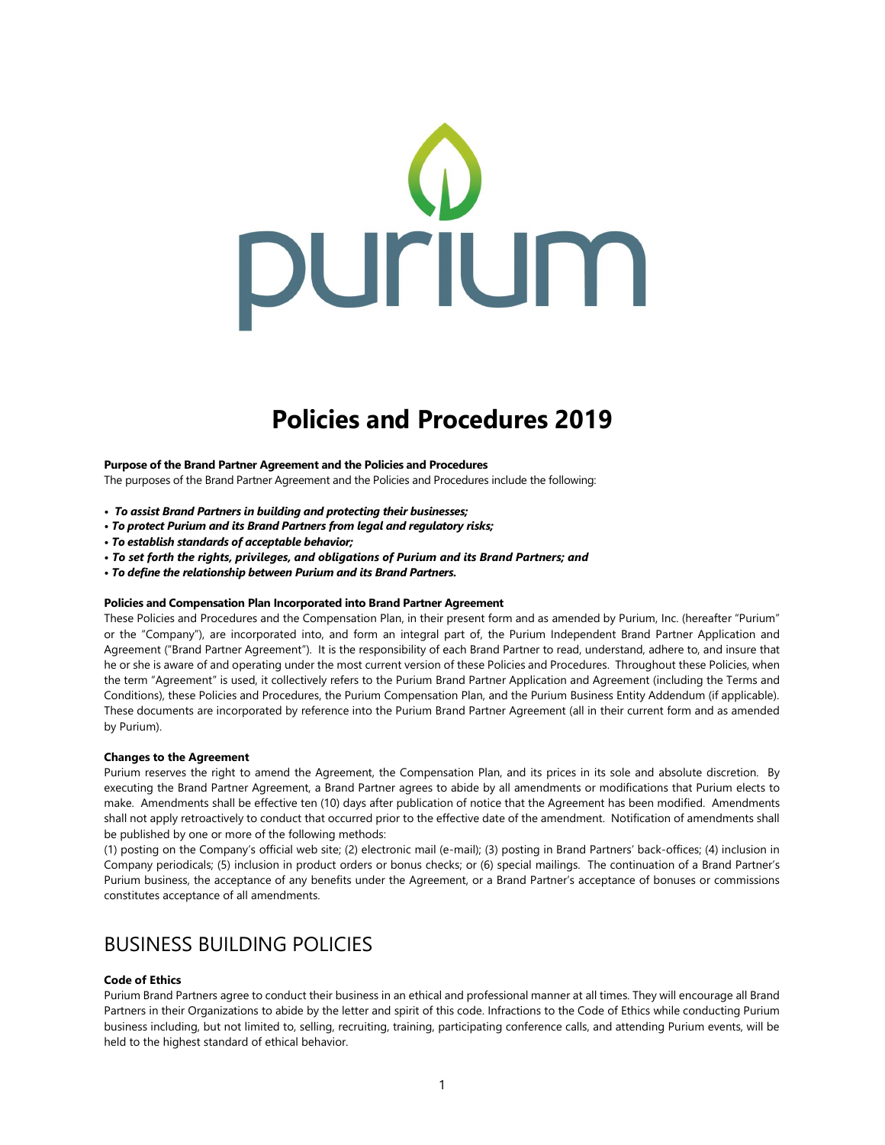

# Policies and Procedures 2019

#### Purpose of the Brand Partner Agreement and the Policies and Procedures

The purposes of the Brand Partner Agreement and the Policies and Procedures include the following:

- To assist Brand Partners in building and protecting their businesses;
- To protect Purium and its Brand Partners from legal and regulatory risks;
- To establish standards of acceptable behavior;
- To set forth the rights, privileges, and obligations of Purium and its Brand Partners; and
- To define the relationship between Purium and its Brand Partners.

#### Policies and Compensation Plan Incorporated into Brand Partner Agreement

These Policies and Procedures and the Compensation Plan, in their present form and as amended by Purium, Inc. (hereafter "Purium" or the "Company"), are incorporated into, and form an integral part of, the Purium Independent Brand Partner Application and Agreement ("Brand Partner Agreement"). It is the responsibility of each Brand Partner to read, understand, adhere to, and insure that he or she is aware of and operating under the most current version of these Policies and Procedures. Throughout these Policies, when the term "Agreement" is used, it collectively refers to the Purium Brand Partner Application and Agreement (including the Terms and Conditions), these Policies and Procedures, the Purium Compensation Plan, and the Purium Business Entity Addendum (if applicable). These documents are incorporated by reference into the Purium Brand Partner Agreement (all in their current form and as amended by Purium).

#### Changes to the Agreement

Purium reserves the right to amend the Agreement, the Compensation Plan, and its prices in its sole and absolute discretion. By executing the Brand Partner Agreement, a Brand Partner agrees to abide by all amendments or modifications that Purium elects to make. Amendments shall be effective ten (10) days after publication of notice that the Agreement has been modified. Amendments shall not apply retroactively to conduct that occurred prior to the effective date of the amendment. Notification of amendments shall be published by one or more of the following methods:

(1) posting on the Company's official web site; (2) electronic mail (e-mail); (3) posting in Brand Partners' back-offices; (4) inclusion in Company periodicals; (5) inclusion in product orders or bonus checks; or (6) special mailings. The continuation of a Brand Partner's Purium business, the acceptance of any benefits under the Agreement, or a Brand Partner's acceptance of bonuses or commissions constitutes acceptance of all amendments.

## BUSINESS BUILDING POLICIES

### Code of Ethics

Purium Brand Partners agree to conduct their business in an ethical and professional manner at all times. They will encourage all Brand Partners in their Organizations to abide by the letter and spirit of this code. Infractions to the Code of Ethics while conducting Purium business including, but not limited to, selling, recruiting, training, participating conference calls, and attending Purium events, will be held to the highest standard of ethical behavior.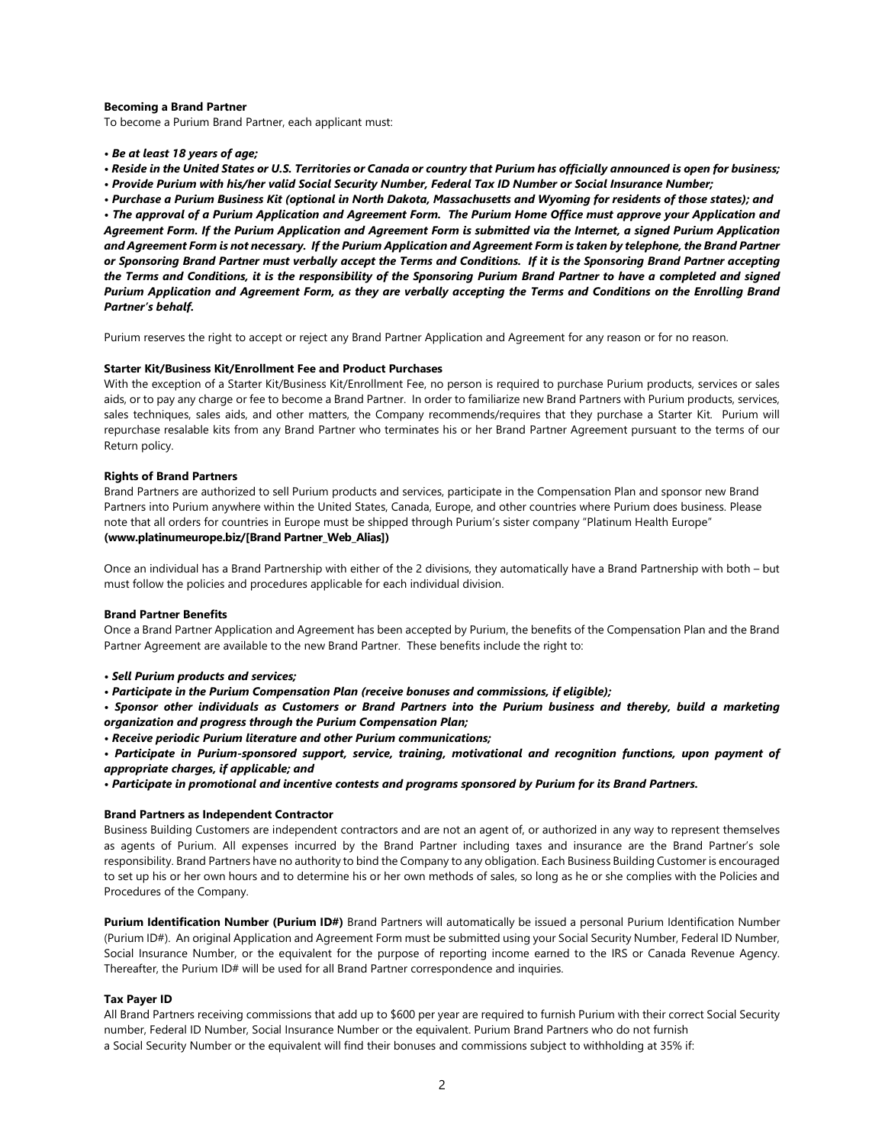## Becoming a Brand Partner

To become a Purium Brand Partner, each applicant must:

- Be at least 18 years of age;
- Reside in the United States or U.S. Territories or Canada or country that Purium has officially announced is open for business;
- Provide Purium with his/her valid Social Security Number, Federal Tax ID Number or Social Insurance Number;

• Purchase a Purium Business Kit (optional in North Dakota, Massachusetts and Wyoming for residents of those states); and • The approval of a Purium Application and Agreement Form. The Purium Home Office must approve your Application and Agreement Form. If the Purium Application and Agreement Form is submitted via the Internet, a signed Purium Application and Agreement Form is not necessary. If the Purium Application and Agreement Form is taken by telephone, the Brand Partner or Sponsoring Brand Partner must verbally accept the Terms and Conditions. If it is the Sponsoring Brand Partner accepting the Terms and Conditions, it is the responsibility of the Sponsoring Purium Brand Partner to have a completed and signed Purium Application and Agreement Form, as they are verbally accepting the Terms and Conditions on the Enrolling Brand Partner's behalf.

Purium reserves the right to accept or reject any Brand Partner Application and Agreement for any reason or for no reason.

#### Starter Kit/Business Kit/Enrollment Fee and Product Purchases

With the exception of a Starter Kit/Business Kit/Enrollment Fee, no person is required to purchase Purium products, services or sales aids, or to pay any charge or fee to become a Brand Partner. In order to familiarize new Brand Partners with Purium products, services, sales techniques, sales aids, and other matters, the Company recommends/requires that they purchase a Starter Kit. Purium will repurchase resalable kits from any Brand Partner who terminates his or her Brand Partner Agreement pursuant to the terms of our Return policy.

## Rights of Brand Partners

Brand Partners are authorized to sell Purium products and services, participate in the Compensation Plan and sponsor new Brand Partners into Purium anywhere within the United States, Canada, Europe, and other countries where Purium does business. Please note that all orders for countries in Europe must be shipped through Purium's sister company "Platinum Health Europe" (www.platinumeurope.biz/[Brand Partner Web Alias])

Once an individual has a Brand Partnership with either of the 2 divisions, they automatically have a Brand Partnership with both – but must follow the policies and procedures applicable for each individual division.

#### Brand Partner Benefits

Once a Brand Partner Application and Agreement has been accepted by Purium, the benefits of the Compensation Plan and the Brand Partner Agreement are available to the new Brand Partner. These benefits include the right to:

- Sell Purium products and services;
- Participate in the Purium Compensation Plan (receive bonuses and commissions, if eligible);

• Sponsor other individuals as Customers or Brand Partners into the Purium business and thereby, build a marketing organization and progress through the Purium Compensation Plan;

• Receive periodic Purium literature and other Purium communications;

• Participate in Purium-sponsored support, service, training, motivational and recognition functions, upon payment of appropriate charges, if applicable; and

• Participate in promotional and incentive contests and programs sponsored by Purium for its Brand Partners.

#### Brand Partners as Independent Contractor

Business Building Customers are independent contractors and are not an agent of, or authorized in any way to represent themselves as agents of Purium. All expenses incurred by the Brand Partner including taxes and insurance are the Brand Partner's sole responsibility. Brand Partners have no authority to bind the Company to any obligation. Each Business Building Customer is encouraged to set up his or her own hours and to determine his or her own methods of sales, so long as he or she complies with the Policies and Procedures of the Company.

Purium Identification Number (Purium ID#) Brand Partners will automatically be issued a personal Purium Identification Number (Purium ID#). An original Application and Agreement Form must be submitted using your Social Security Number, Federal ID Number, Social Insurance Number, or the equivalent for the purpose of reporting income earned to the IRS or Canada Revenue Agency. Thereafter, the Purium ID# will be used for all Brand Partner correspondence and inquiries.

## Tax Payer ID

All Brand Partners receiving commissions that add up to \$600 per year are required to furnish Purium with their correct Social Security number, Federal ID Number, Social Insurance Number or the equivalent. Purium Brand Partners who do not furnish a Social Security Number or the equivalent will find their bonuses and commissions subject to withholding at 35% if: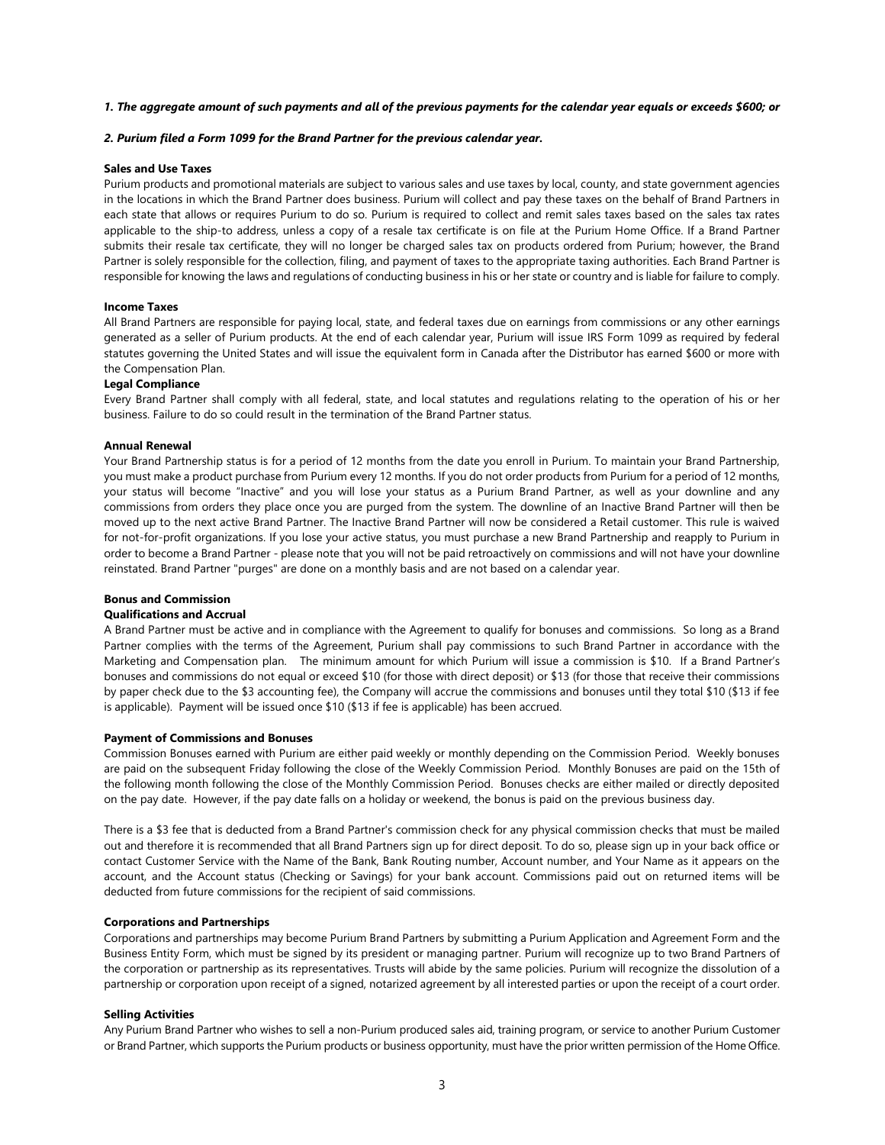### 1. The aggregate amount of such payments and all of the previous payments for the calendar year equals or exceeds \$600; or

### 2. Purium filed a Form 1099 for the Brand Partner for the previous calendar year.

## Sales and Use Taxes

Purium products and promotional materials are subject to various sales and use taxes by local, county, and state government agencies in the locations in which the Brand Partner does business. Purium will collect and pay these taxes on the behalf of Brand Partners in each state that allows or requires Purium to do so. Purium is required to collect and remit sales taxes based on the sales tax rates applicable to the ship-to address, unless a copy of a resale tax certificate is on file at the Purium Home Office. If a Brand Partner submits their resale tax certificate, they will no longer be charged sales tax on products ordered from Purium; however, the Brand Partner is solely responsible for the collection, filing, and payment of taxes to the appropriate taxing authorities. Each Brand Partner is responsible for knowing the laws and regulations of conducting business in his or her state or country and is liable for failure to comply.

#### Income Taxes

All Brand Partners are responsible for paying local, state, and federal taxes due on earnings from commissions or any other earnings generated as a seller of Purium products. At the end of each calendar year, Purium will issue IRS Form 1099 as required by federal statutes governing the United States and will issue the equivalent form in Canada after the Distributor has earned \$600 or more with the Compensation Plan.

## Legal Compliance

Every Brand Partner shall comply with all federal, state, and local statutes and regulations relating to the operation of his or her business. Failure to do so could result in the termination of the Brand Partner status.

#### Annual Renewal

Your Brand Partnership status is for a period of 12 months from the date you enroll in Purium. To maintain your Brand Partnership, you must make a product purchase from Purium every 12 months. If you do not order products from Purium for a period of 12 months, your status will become "Inactive" and you will lose your status as a Purium Brand Partner, as well as your downline and any commissions from orders they place once you are purged from the system. The downline of an Inactive Brand Partner will then be moved up to the next active Brand Partner. The Inactive Brand Partner will now be considered a Retail customer. This rule is waived for not-for-profit organizations. If you lose your active status, you must purchase a new Brand Partnership and reapply to Purium in order to become a Brand Partner - please note that you will not be paid retroactively on commissions and will not have your downline reinstated. Brand Partner "purges" are done on a monthly basis and are not based on a calendar year.

#### Bonus and Commission

## Qualifications and Accrual

A Brand Partner must be active and in compliance with the Agreement to qualify for bonuses and commissions. So long as a Brand Partner complies with the terms of the Agreement, Purium shall pay commissions to such Brand Partner in accordance with the Marketing and Compensation plan. The minimum amount for which Purium will issue a commission is \$10. If a Brand Partner's bonuses and commissions do not equal or exceed \$10 (for those with direct deposit) or \$13 (for those that receive their commissions by paper check due to the \$3 accounting fee), the Company will accrue the commissions and bonuses until they total \$10 (\$13 if fee is applicable). Payment will be issued once \$10 (\$13 if fee is applicable) has been accrued.

## Payment of Commissions and Bonuses

Commission Bonuses earned with Purium are either paid weekly or monthly depending on the Commission Period. Weekly bonuses are paid on the subsequent Friday following the close of the Weekly Commission Period. Monthly Bonuses are paid on the 15th of the following month following the close of the Monthly Commission Period. Bonuses checks are either mailed or directly deposited on the pay date. However, if the pay date falls on a holiday or weekend, the bonus is paid on the previous business day.

There is a \$3 fee that is deducted from a Brand Partner's commission check for any physical commission checks that must be mailed out and therefore it is recommended that all Brand Partners sign up for direct deposit. To do so, please sign up in your back office or contact Customer Service with the Name of the Bank, Bank Routing number, Account number, and Your Name as it appears on the account, and the Account status (Checking or Savings) for your bank account. Commissions paid out on returned items will be deducted from future commissions for the recipient of said commissions.

#### Corporations and Partnerships

Corporations and partnerships may become Purium Brand Partners by submitting a Purium Application and Agreement Form and the Business Entity Form, which must be signed by its president or managing partner. Purium will recognize up to two Brand Partners of the corporation or partnership as its representatives. Trusts will abide by the same policies. Purium will recognize the dissolution of a partnership or corporation upon receipt of a signed, notarized agreement by all interested parties or upon the receipt of a court order.

### Selling Activities

Any Purium Brand Partner who wishes to sell a non-Purium produced sales aid, training program, or service to another Purium Customer or Brand Partner, which supports the Purium products or business opportunity, must have the prior written permission of the Home Office.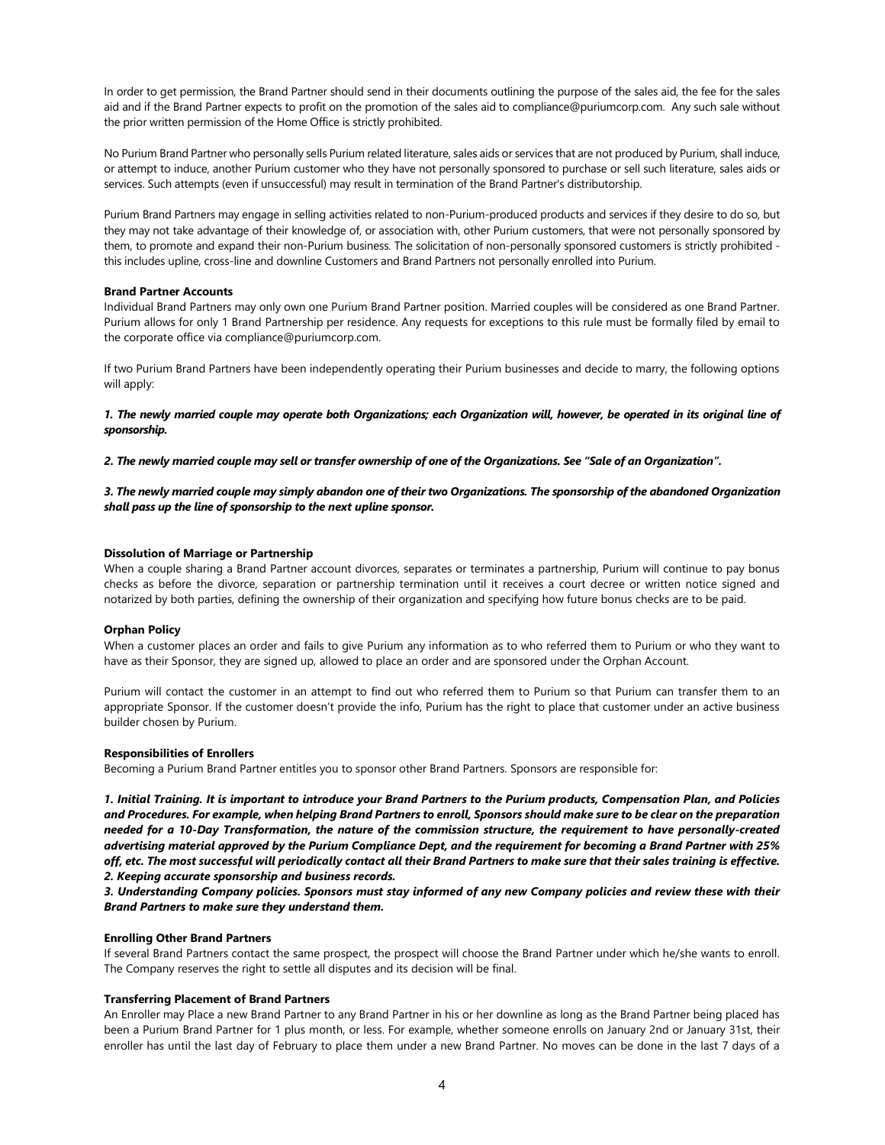In order to get permission, the Brand Partner should send in their documents outlining the purpose of the sales aid, the fee for the sales aid and if the Brand Partner expects to profit on the promotion of the sales aid to compliance@puriumcorp.com. Any such sale without the prior written permission of the Home Office is strictly prohibited.

No Purium Brand Partner who personally sells Purium related literature, sales aids or services that are not produced by Purium, shall induce, or attempt to induce, another Purium customer who they have not personally sponsored to purchase or sell such literature, sales aids or services. Such attempts (even if unsuccessful) may result in termination of the Brand Partner's distributorship.

Purium Brand Partners may engage in selling activities related to non-Purium-produced products and services if they desire to do so, but they may not take advantage of their knowledge of, or association with, other Purium customers, that were not personally sponsored by them, to promote and expand their non-Purium business. The solicitation of non-personally sponsored customers is strictly prohibited this includes upline, cross-line and downline Customers and Brand Partners not personally enrolled into Purium.

## Brand Partner Accounts

Individual Brand Partners may only own one Purium Brand Partner position. Married couples will be considered as one Brand Partner. Purium allows for only 1 Brand Partnership per residence. Any requests for exceptions to this rule must be formally filed by email to the corporate office via compliance@puriumcorp.com.

If two Purium Brand Partners have been independently operating their Purium businesses and decide to marry, the following options will apply:

1. The newly married couple may operate both Organizations; each Organization will, however, be operated in its original line of sponsorship.

2. The newly married couple may sell or transfer ownership of one of the Organizations. See "Sale of an Organization".

## 3. The newly married couple may simply abandon one of their two Organizations. The sponsorship of the abandoned Organization shall pass up the line of sponsorship to the next upline sponsor.

## Dissolution of Marriage or Partnership

When a couple sharing a Brand Partner account divorces, separates or terminates a partnership, Purium will continue to pay bonus checks as before the divorce, separation or partnership termination until it receives a court decree or written notice signed and notarized by both parties, defining the ownership of their organization and specifying how future bonus checks are to be paid.

#### Orphan Policy

When a customer places an order and fails to give Purium any information as to who referred them to Purium or who they want to have as their Sponsor, they are signed up, allowed to place an order and are sponsored under the Orphan Account.

Purium will contact the customer in an attempt to find out who referred them to Purium so that Purium can transfer them to an appropriate Sponsor. If the customer doesn't provide the info, Purium has the right to place that customer under an active business builder chosen by Purium.

#### Responsibilities of Enrollers

Becoming a Purium Brand Partner entitles you to sponsor other Brand Partners. Sponsors are responsible for:

1. Initial Training. It is important to introduce your Brand Partners to the Purium products, Compensation Plan, and Policies and Procedures. For example, when helping Brand Partners to enroll, Sponsors should make sure to be clear on the preparation needed for a 10-Day Transformation, the nature of the commission structure, the requirement to have personally-created advertising material approved by the Purium Compliance Dept, and the requirement for becoming a Brand Partner with 25% off, etc. The most successful will periodically contact all their Brand Partners to make sure that their sales training is effective. 2. Keeping accurate sponsorship and business records.

3. Understanding Company policies. Sponsors must stay informed of any new Company policies and review these with their Brand Partners to make sure they understand them.

## Enrolling Other Brand Partners

If several Brand Partners contact the same prospect, the prospect will choose the Brand Partner under which he/she wants to enroll. The Company reserves the right to settle all disputes and its decision will be final.

## Transferring Placement of Brand Partners

An Enroller may Place a new Brand Partner to any Brand Partner in his or her downline as long as the Brand Partner being placed has been a Purium Brand Partner for 1 plus month, or less. For example, whether someone enrolls on January 2nd or January 31st, their enroller has until the last day of February to place them under a new Brand Partner. No moves can be done in the last 7 days of a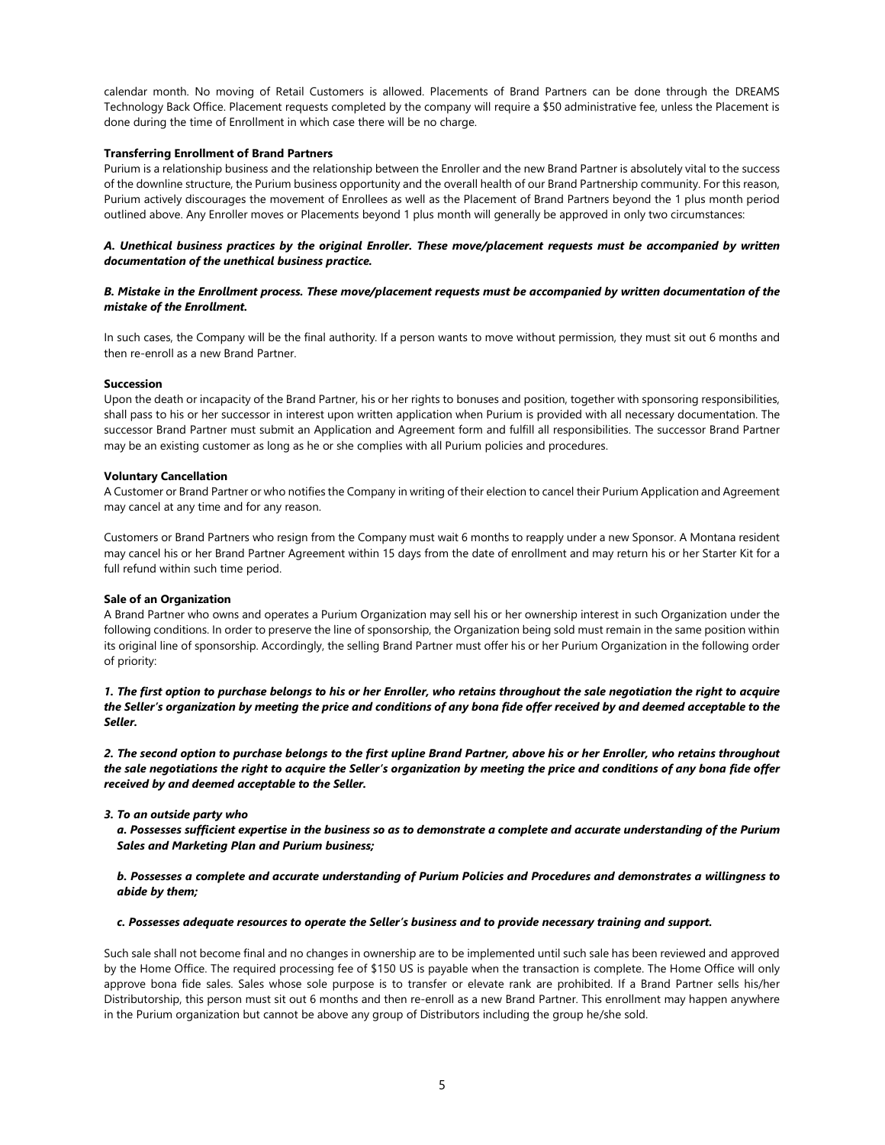calendar month. No moving of Retail Customers is allowed. Placements of Brand Partners can be done through the DREAMS Technology Back Office. Placement requests completed by the company will require a \$50 administrative fee, unless the Placement is done during the time of Enrollment in which case there will be no charge.

## Transferring Enrollment of Brand Partners

Purium is a relationship business and the relationship between the Enroller and the new Brand Partner is absolutely vital to the success of the downline structure, the Purium business opportunity and the overall health of our Brand Partnership community. For this reason, Purium actively discourages the movement of Enrollees as well as the Placement of Brand Partners beyond the 1 plus month period outlined above. Any Enroller moves or Placements beyond 1 plus month will generally be approved in only two circumstances:

## A. Unethical business practices by the original Enroller. These move/placement requests must be accompanied by written documentation of the unethical business practice.

## B. Mistake in the Enrollment process. These move/placement requests must be accompanied by written documentation of the mistake of the Enrollment.

In such cases, the Company will be the final authority. If a person wants to move without permission, they must sit out 6 months and then re-enroll as a new Brand Partner.

#### Succession

Upon the death or incapacity of the Brand Partner, his or her rights to bonuses and position, together with sponsoring responsibilities, shall pass to his or her successor in interest upon written application when Purium is provided with all necessary documentation. The successor Brand Partner must submit an Application and Agreement form and fulfill all responsibilities. The successor Brand Partner may be an existing customer as long as he or she complies with all Purium policies and procedures.

#### Voluntary Cancellation

A Customer or Brand Partner or who notifies the Company in writing of their election to cancel their Purium Application and Agreement may cancel at any time and for any reason.

Customers or Brand Partners who resign from the Company must wait 6 months to reapply under a new Sponsor. A Montana resident may cancel his or her Brand Partner Agreement within 15 days from the date of enrollment and may return his or her Starter Kit for a full refund within such time period.

#### Sale of an Organization

A Brand Partner who owns and operates a Purium Organization may sell his or her ownership interest in such Organization under the following conditions. In order to preserve the line of sponsorship, the Organization being sold must remain in the same position within its original line of sponsorship. Accordingly, the selling Brand Partner must offer his or her Purium Organization in the following order of priority:

1. The first option to purchase belongs to his or her Enroller, who retains throughout the sale negotiation the right to acquire the Seller's organization by meeting the price and conditions of any bona fide offer received by and deemed acceptable to the Seller.

2. The second option to purchase belongs to the first upline Brand Partner, above his or her Enroller, who retains throughout the sale negotiations the right to acquire the Seller's organization by meeting the price and conditions of any bona fide offer received by and deemed acceptable to the Seller.

3. To an outside party who

a. Possesses sufficient expertise in the business so as to demonstrate a complete and accurate understanding of the Purium Sales and Marketing Plan and Purium business;

## b. Possesses a complete and accurate understanding of Purium Policies and Procedures and demonstrates a willingness to abide by them;

#### c. Possesses adequate resources to operate the Seller's business and to provide necessary training and support.

Such sale shall not become final and no changes in ownership are to be implemented until such sale has been reviewed and approved by the Home Office. The required processing fee of \$150 US is payable when the transaction is complete. The Home Office will only approve bona fide sales. Sales whose sole purpose is to transfer or elevate rank are prohibited. If a Brand Partner sells his/her Distributorship, this person must sit out 6 months and then re-enroll as a new Brand Partner. This enrollment may happen anywhere in the Purium organization but cannot be above any group of Distributors including the group he/she sold.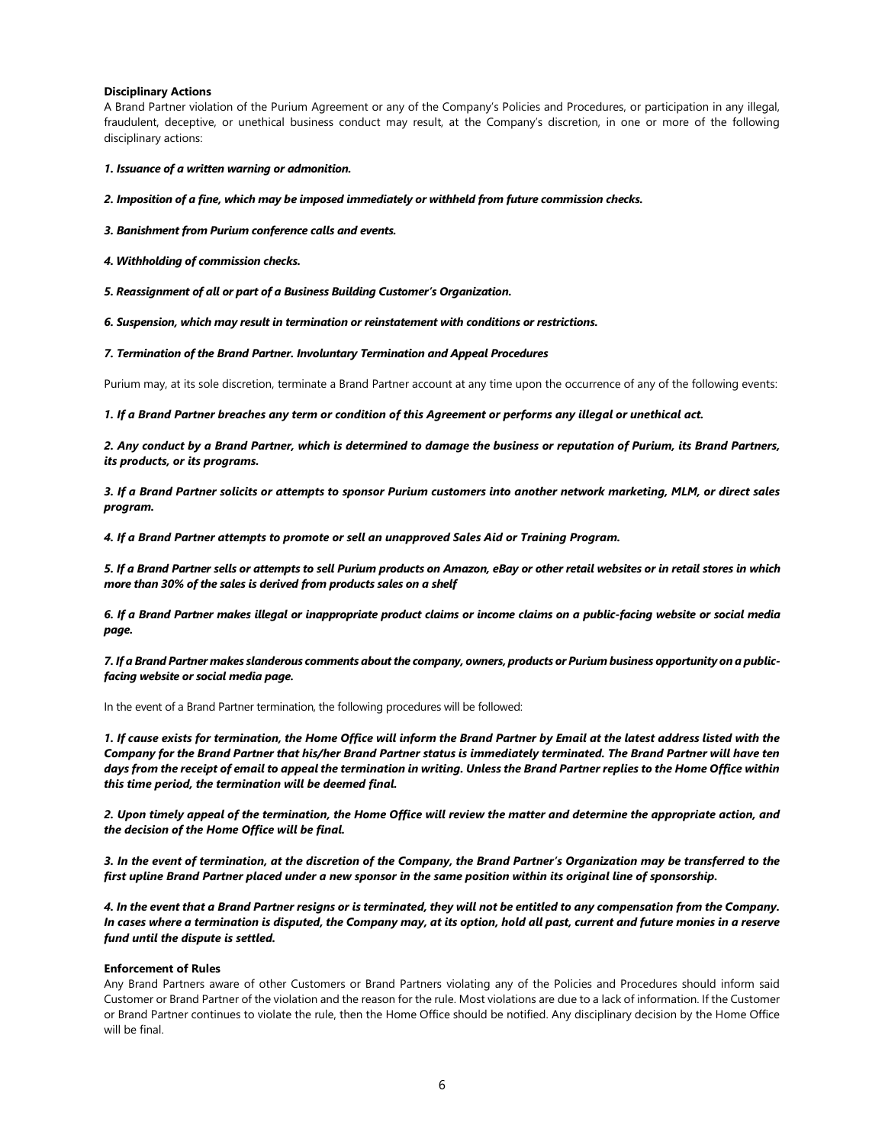## Disciplinary Actions

A Brand Partner violation of the Purium Agreement or any of the Company's Policies and Procedures, or participation in any illegal, fraudulent, deceptive, or unethical business conduct may result, at the Company's discretion, in one or more of the following disciplinary actions:

1. Issuance of a written warning or admonition.

2. Imposition of a fine, which may be imposed immediately or withheld from future commission checks.

3. Banishment from Purium conference calls and events.

4. Withholding of commission checks.

5. Reassignment of all or part of a Business Building Customer's Organization.

6. Suspension, which may result in termination or reinstatement with conditions or restrictions.

7. Termination of the Brand Partner. Involuntary Termination and Appeal Procedures

Purium may, at its sole discretion, terminate a Brand Partner account at any time upon the occurrence of any of the following events:

1. If a Brand Partner breaches any term or condition of this Agreement or performs any illegal or unethical act.

2. Any conduct by a Brand Partner, which is determined to damage the business or reputation of Purium, its Brand Partners, its products, or its programs.

3. If a Brand Partner solicits or attempts to sponsor Purium customers into another network marketing, MLM, or direct sales program.

4. If a Brand Partner attempts to promote or sell an unapproved Sales Aid or Training Program.

5. If a Brand Partner sells or attempts to sell Purium products on Amazon, eBay or other retail websites or in retail stores in which more than 30% of the sales is derived from products sales on a shelf

6. If a Brand Partner makes illegal or inappropriate product claims or income claims on a public-facing website or social media page.

7. If a Brand Partner makes slanderous comments about the company, owners, products or Purium business opportunity on a publicfacing website or social media page.

In the event of a Brand Partner termination, the following procedures will be followed:

1. If cause exists for termination, the Home Office will inform the Brand Partner by Email at the latest address listed with the Company for the Brand Partner that his/her Brand Partner status is immediately terminated. The Brand Partner will have ten days from the receipt of email to appeal the termination in writing. Unless the Brand Partner replies to the Home Office within this time period, the termination will be deemed final.

2. Upon timely appeal of the termination, the Home Office will review the matter and determine the appropriate action, and the decision of the Home Office will be final.

3. In the event of termination, at the discretion of the Company, the Brand Partner's Organization may be transferred to the first upline Brand Partner placed under a new sponsor in the same position within its original line of sponsorship.

4. In the event that a Brand Partner resigns or is terminated, they will not be entitled to any compensation from the Company. In cases where a termination is disputed, the Company may, at its option, hold all past, current and future monies in a reserve fund until the dispute is settled.

## Enforcement of Rules

Any Brand Partners aware of other Customers or Brand Partners violating any of the Policies and Procedures should inform said Customer or Brand Partner of the violation and the reason for the rule. Most violations are due to a lack of information. If the Customer or Brand Partner continues to violate the rule, then the Home Office should be notified. Any disciplinary decision by the Home Office will be final.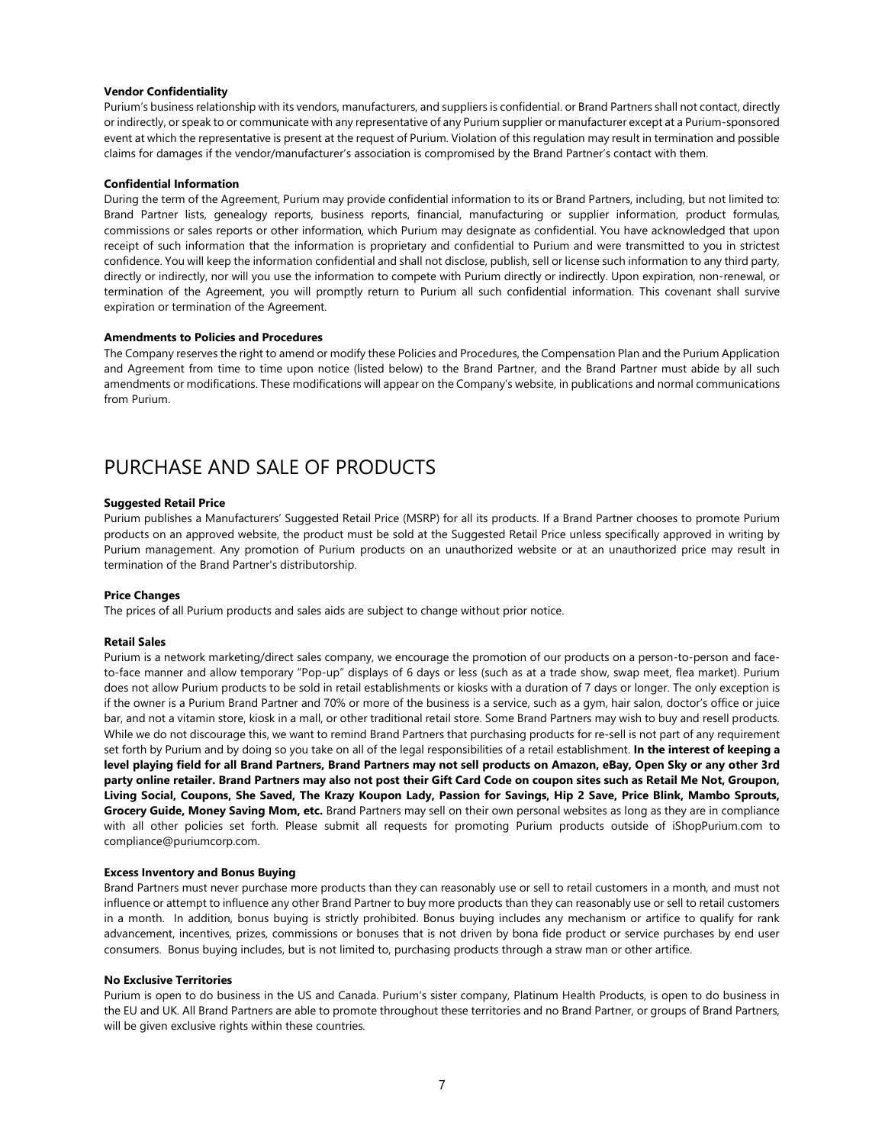### Vendor Confidentiality

Purium's business relationship with its vendors, manufacturers, and suppliers is confidential. or Brand Partners shall not contact, directly or indirectly, or speak to or communicate with any representative of any Purium supplier or manufacturer except at a Purium-sponsored event at which the representative is present at the request of Purium. Violation of this regulation may result in termination and possible claims for damages if the vendor/manufacturer's association is compromised by the Brand Partner's contact with them.

### Confidential Information

During the term of the Agreement, Purium may provide confidential information to its or Brand Partners, including, but not limited to: Brand Partner lists, genealogy reports, business reports, financial, manufacturing or supplier information, product formulas, commissions or sales reports or other information, which Purium may designate as confidential. You have acknowledged that upon receipt of such information that the information is proprietary and confidential to Purium and were transmitted to you in strictest confidence. You will keep the information confidential and shall not disclose, publish, sell or license such information to any third party, directly or indirectly, nor will you use the information to compete with Purium directly or indirectly. Upon expiration, non-renewal, or termination of the Agreement, you will promptly return to Purium all such confidential information. This covenant shall survive expiration or termination of the Agreement.

#### Amendments to Policies and Procedures

The Company reserves the right to amend or modify these Policies and Procedures, the Compensation Plan and the Purium Application and Agreement from time to time upon notice (listed below) to the Brand Partner, and the Brand Partner must abide by all such amendments or modifications. These modifications will appear on the Company's website, in publications and normal communications from Purium.

## PURCHASE AND SALE OF PRODUCTS

#### Suggested Retail Price

Purium publishes a Manufacturers' Suggested Retail Price (MSRP) for all its products. If a Brand Partner chooses to promote Purium products on an approved website, the product must be sold at the Suggested Retail Price unless specifically approved in writing by Purium management. Any promotion of Purium products on an unauthorized website or at an unauthorized price may result in termination of the Brand Partner's distributorship.

## Price Changes

The prices of all Purium products and sales aids are subject to change without prior notice.

#### Retail Sales

Purium is a network marketing/direct sales company, we encourage the promotion of our products on a person-to-person and faceto-face manner and allow temporary "Pop-up" displays of 6 days or less (such as at a trade show, swap meet, flea market). Purium does not allow Purium products to be sold in retail establishments or kiosks with a duration of 7 days or longer. The only exception is if the owner is a Purium Brand Partner and 70% or more of the business is a service, such as a gym, hair salon, doctor's office or juice bar, and not a vitamin store, kiosk in a mall, or other traditional retail store. Some Brand Partners may wish to buy and resell products. While we do not discourage this, we want to remind Brand Partners that purchasing products for re-sell is not part of any requirement set forth by Purium and by doing so you take on all of the legal responsibilities of a retail establishment. In the interest of keeping a level playing field for all Brand Partners, Brand Partners may not sell products on Amazon, eBay, Open Sky or any other 3rd party online retailer. Brand Partners may also not post their Gift Card Code on coupon sites such as Retail Me Not, Groupon, Living Social, Coupons, She Saved, The Krazy Koupon Lady, Passion for Savings, Hip 2 Save, Price Blink, Mambo Sprouts, Grocery Guide, Money Saving Mom, etc. Brand Partners may sell on their own personal websites as long as they are in compliance with all other policies set forth. Please submit all requests for promoting Purium products outside of iShopPurium.com to compliance@puriumcorp.com.

### Excess Inventory and Bonus Buying

Brand Partners must never purchase more products than they can reasonably use or sell to retail customers in a month, and must not influence or attempt to influence any other Brand Partner to buy more products than they can reasonably use or sell to retail customers in a month. In addition, bonus buying is strictly prohibited. Bonus buying includes any mechanism or artifice to qualify for rank advancement, incentives, prizes, commissions or bonuses that is not driven by bona fide product or service purchases by end user consumers. Bonus buying includes, but is not limited to, purchasing products through a straw man or other artifice.

### No Exclusive Territories

Purium is open to do business in the US and Canada. Purium's sister company, Platinum Health Products, is open to do business in the EU and UK. All Brand Partners are able to promote throughout these territories and no Brand Partner, or groups of Brand Partners, will be given exclusive rights within these countries.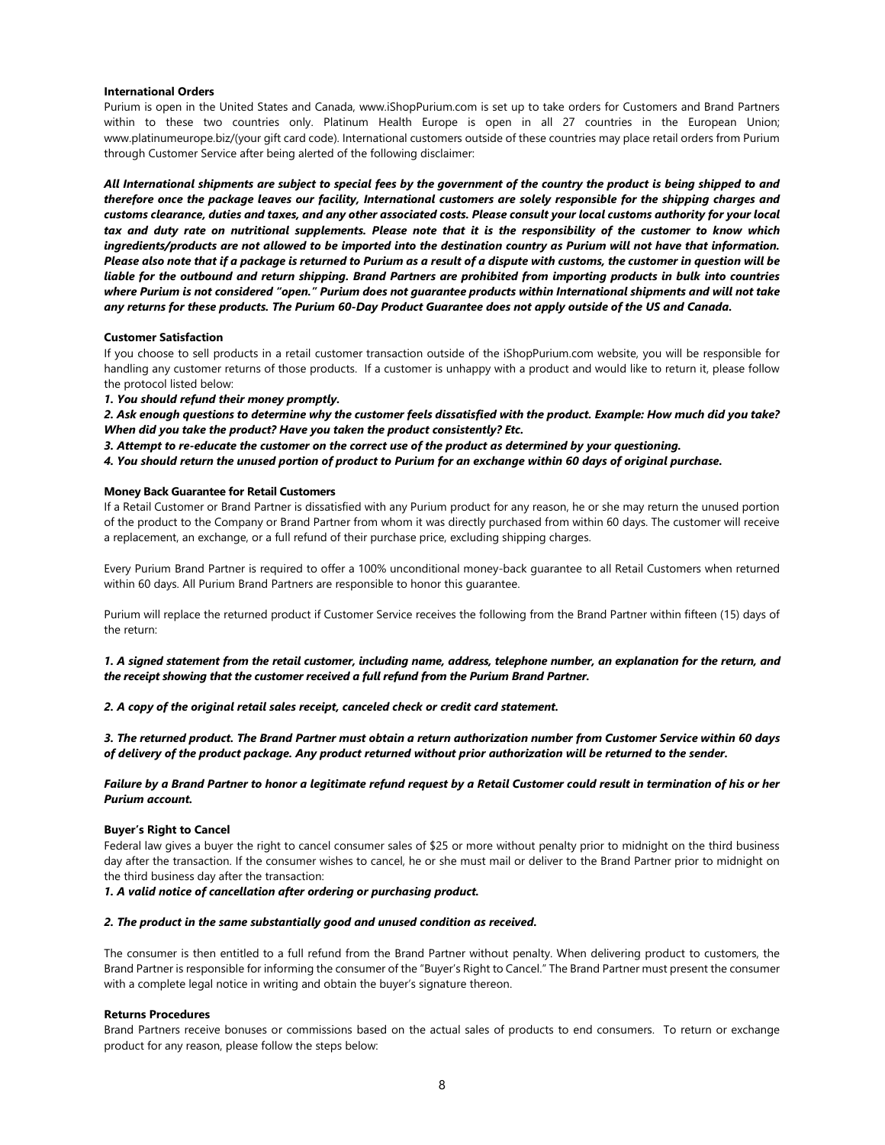#### International Orders

Purium is open in the United States and Canada, www.iShopPurium.com is set up to take orders for Customers and Brand Partners within to these two countries only. Platinum Health Europe is open in all 27 countries in the European Union; www.platinumeurope.biz/(your gift card code). International customers outside of these countries may place retail orders from Purium through Customer Service after being alerted of the following disclaimer:

All International shipments are subject to special fees by the government of the country the product is being shipped to and therefore once the package leaves our facility, International customers are solely responsible for the shipping charges and customs clearance, duties and taxes, and any other associated costs. Please consult your local customs authority for your local tax and duty rate on nutritional supplements. Please note that it is the responsibility of the customer to know which ingredients/products are not allowed to be imported into the destination country as Purium will not have that information. Please also note that if a package is returned to Purium as a result of a dispute with customs, the customer in question will be liable for the outbound and return shipping. Brand Partners are prohibited from importing products in bulk into countries where Purium is not considered "open." Purium does not guarantee products within International shipments and will not take any returns for these products. The Purium 60-Day Product Guarantee does not apply outside of the US and Canada.

## Customer Satisfaction

If you choose to sell products in a retail customer transaction outside of the iShopPurium.com website, you will be responsible for handling any customer returns of those products. If a customer is unhappy with a product and would like to return it, please follow the protocol listed below:

1. You should refund their money promptly.

2. Ask enough questions to determine why the customer feels dissatisfied with the product. Example: How much did you take? When did you take the product? Have you taken the product consistently? Etc.

3. Attempt to re-educate the customer on the correct use of the product as determined by your questioning.

4. You should return the unused portion of product to Purium for an exchange within 60 days of original purchase.

## Money Back Guarantee for Retail Customers

If a Retail Customer or Brand Partner is dissatisfied with any Purium product for any reason, he or she may return the unused portion of the product to the Company or Brand Partner from whom it was directly purchased from within 60 days. The customer will receive a replacement, an exchange, or a full refund of their purchase price, excluding shipping charges.

Every Purium Brand Partner is required to offer a 100% unconditional money-back guarantee to all Retail Customers when returned within 60 days. All Purium Brand Partners are responsible to honor this guarantee.

Purium will replace the returned product if Customer Service receives the following from the Brand Partner within fifteen (15) days of the return:

1. A signed statement from the retail customer, including name, address, telephone number, an explanation for the return, and the receipt showing that the customer received a full refund from the Purium Brand Partner.

2. A copy of the original retail sales receipt, canceled check or credit card statement.

3. The returned product. The Brand Partner must obtain a return authorization number from Customer Service within 60 days of delivery of the product package. Any product returned without prior authorization will be returned to the sender.

## Failure by a Brand Partner to honor a legitimate refund request by a Retail Customer could result in termination of his or her Purium account.

#### Buyer's Right to Cancel

Federal law gives a buyer the right to cancel consumer sales of \$25 or more without penalty prior to midnight on the third business day after the transaction. If the consumer wishes to cancel, he or she must mail or deliver to the Brand Partner prior to midnight on the third business day after the transaction:

1. A valid notice of cancellation after ordering or purchasing product.

#### 2. The product in the same substantially good and unused condition as received.

The consumer is then entitled to a full refund from the Brand Partner without penalty. When delivering product to customers, the Brand Partner is responsible for informing the consumer of the "Buyer's Right to Cancel." The Brand Partner must present the consumer with a complete legal notice in writing and obtain the buyer's signature thereon.

### Returns Procedures

Brand Partners receive bonuses or commissions based on the actual sales of products to end consumers. To return or exchange product for any reason, please follow the steps below: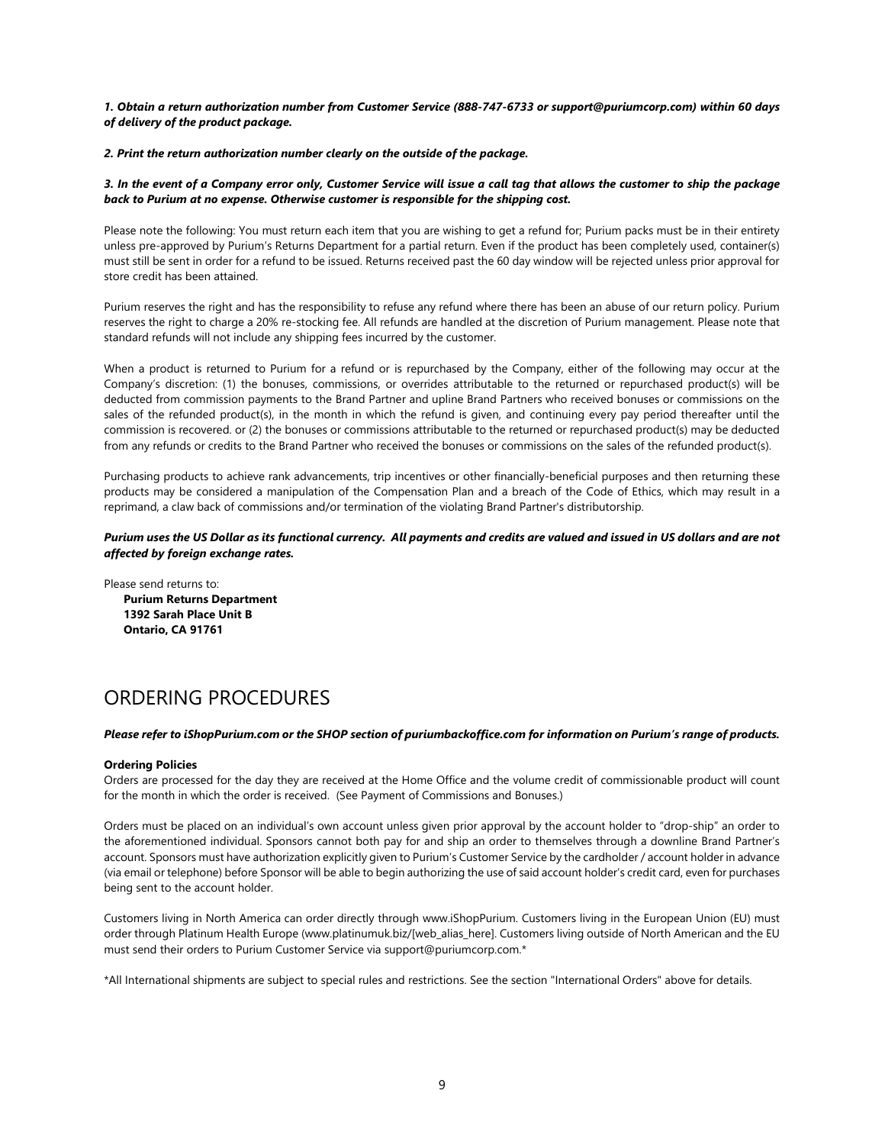1. Obtain a return authorization number from Customer Service (888-747-6733 or support@puriumcorp.com) within 60 days of delivery of the product package.

## 2. Print the return authorization number clearly on the outside of the package.

## 3. In the event of a Company error only, Customer Service will issue a call tag that allows the customer to ship the package back to Purium at no expense. Otherwise customer is responsible for the shipping cost.

Please note the following: You must return each item that you are wishing to get a refund for; Purium packs must be in their entirety unless pre-approved by Purium's Returns Department for a partial return. Even if the product has been completely used, container(s) must still be sent in order for a refund to be issued. Returns received past the 60 day window will be rejected unless prior approval for store credit has been attained.

Purium reserves the right and has the responsibility to refuse any refund where there has been an abuse of our return policy. Purium reserves the right to charge a 20% re-stocking fee. All refunds are handled at the discretion of Purium management. Please note that standard refunds will not include any shipping fees incurred by the customer.

When a product is returned to Purium for a refund or is repurchased by the Company, either of the following may occur at the Company's discretion: (1) the bonuses, commissions, or overrides attributable to the returned or repurchased product(s) will be deducted from commission payments to the Brand Partner and upline Brand Partners who received bonuses or commissions on the sales of the refunded product(s), in the month in which the refund is given, and continuing every pay period thereafter until the commission is recovered. or (2) the bonuses or commissions attributable to the returned or repurchased product(s) may be deducted from any refunds or credits to the Brand Partner who received the bonuses or commissions on the sales of the refunded product(s).

Purchasing products to achieve rank advancements, trip incentives or other financially-beneficial purposes and then returning these products may be considered a manipulation of the Compensation Plan and a breach of the Code of Ethics, which may result in a reprimand, a claw back of commissions and/or termination of the violating Brand Partner's distributorship.

## Purium uses the US Dollar as its functional currency. All payments and credits are valued and issued in US dollars and are not affected by foreign exchange rates.

Please send returns to: Purium Returns Department 1392 Sarah Place Unit B Ontario, CA 91761

## ORDERING PROCEDURES

## Please refer to iShopPurium.com or the SHOP section of puriumbackoffice.com for information on Purium's range of products.

## Ordering Policies

Orders are processed for the day they are received at the Home Office and the volume credit of commissionable product will count for the month in which the order is received. (See Payment of Commissions and Bonuses.)

Orders must be placed on an individual's own account unless given prior approval by the account holder to "drop-ship" an order to the aforementioned individual. Sponsors cannot both pay for and ship an order to themselves through a downline Brand Partner's account. Sponsors must have authorization explicitly given to Purium's Customer Service by the cardholder / account holder in advance (via email or telephone) before Sponsor will be able to begin authorizing the use of said account holder's credit card, even for purchases being sent to the account holder.

Customers living in North America can order directly through www.iShopPurium. Customers living in the European Union (EU) must order through Platinum Health Europe (www.platinumuk.biz/[web\_alias\_here]. Customers living outside of North American and the EU must send their orders to Purium Customer Service via support@puriumcorp.com.\*

\*All International shipments are subject to special rules and restrictions. See the section "International Orders" above for details.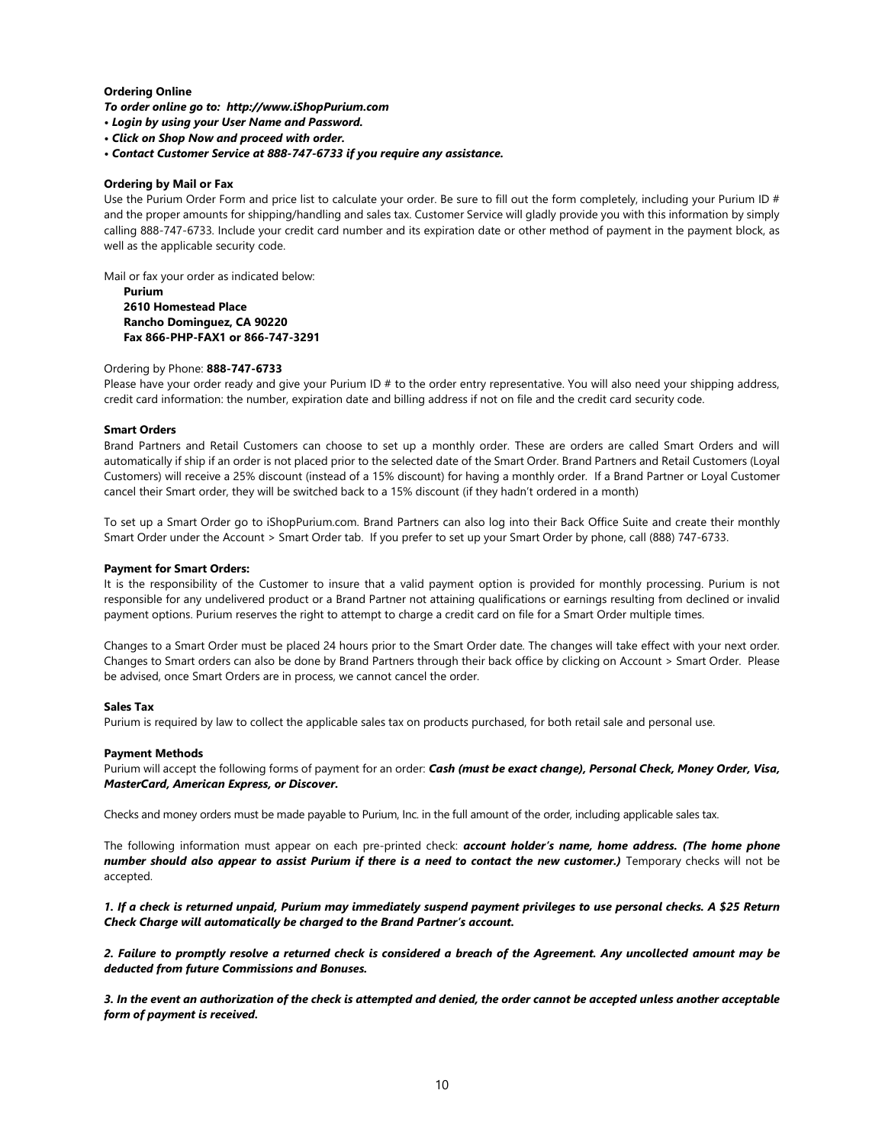## Ordering Online

To order online go to: http://www.iShopPurium.com

- Login by using your User Name and Password.
- Click on Shop Now and proceed with order.
- Contact Customer Service at 888-747-6733 if you require any assistance.

## Ordering by Mail or Fax

Use the Purium Order Form and price list to calculate your order. Be sure to fill out the form completely, including your Purium ID # and the proper amounts for shipping/handling and sales tax. Customer Service will gladly provide you with this information by simply calling 888-747-6733. Include your credit card number and its expiration date or other method of payment in the payment block, as well as the applicable security code.

Mail or fax your order as indicated below:

Purium 2610 Homestead Place Rancho Dominguez, CA 90220 Fax 866-PHP-FAX1 or 866-747-3291

## Ordering by Phone: 888-747-6733

Please have your order ready and give your Purium ID # to the order entry representative. You will also need your shipping address, credit card information: the number, expiration date and billing address if not on file and the credit card security code.

## Smart Orders

Brand Partners and Retail Customers can choose to set up a monthly order. These are orders are called Smart Orders and will automatically if ship if an order is not placed prior to the selected date of the Smart Order. Brand Partners and Retail Customers (Loyal Customers) will receive a 25% discount (instead of a 15% discount) for having a monthly order. If a Brand Partner or Loyal Customer cancel their Smart order, they will be switched back to a 15% discount (if they hadn't ordered in a month)

To set up a Smart Order go to iShopPurium.com. Brand Partners can also log into their Back Office Suite and create their monthly Smart Order under the Account > Smart Order tab. If you prefer to set up your Smart Order by phone, call (888) 747-6733.

### Payment for Smart Orders:

It is the responsibility of the Customer to insure that a valid payment option is provided for monthly processing. Purium is not responsible for any undelivered product or a Brand Partner not attaining qualifications or earnings resulting from declined or invalid payment options. Purium reserves the right to attempt to charge a credit card on file for a Smart Order multiple times.

Changes to a Smart Order must be placed 24 hours prior to the Smart Order date. The changes will take effect with your next order. Changes to Smart orders can also be done by Brand Partners through their back office by clicking on Account > Smart Order. Please be advised, once Smart Orders are in process, we cannot cancel the order.

## Sales Tax

Purium is required by law to collect the applicable sales tax on products purchased, for both retail sale and personal use.

#### Payment Methods

Purium will accept the following forms of payment for an order: Cash (must be exact change), Personal Check, Money Order, Visa, MasterCard, American Express, or Discover.

Checks and money orders must be made payable to Purium, Inc. in the full amount of the order, including applicable sales tax.

The following information must appear on each pre-printed check: account holder's name, home address. (The home phone number should also appear to assist Purium if there is a need to contact the new customer.) Temporary checks will not be accepted.

1. If a check is returned unpaid, Purium may immediately suspend payment privileges to use personal checks. A \$25 Return Check Charge will automatically be charged to the Brand Partner's account.

2. Failure to promptly resolve a returned check is considered a breach of the Agreement. Any uncollected amount may be deducted from future Commissions and Bonuses.

3. In the event an authorization of the check is attempted and denied, the order cannot be accepted unless another acceptable form of payment is received.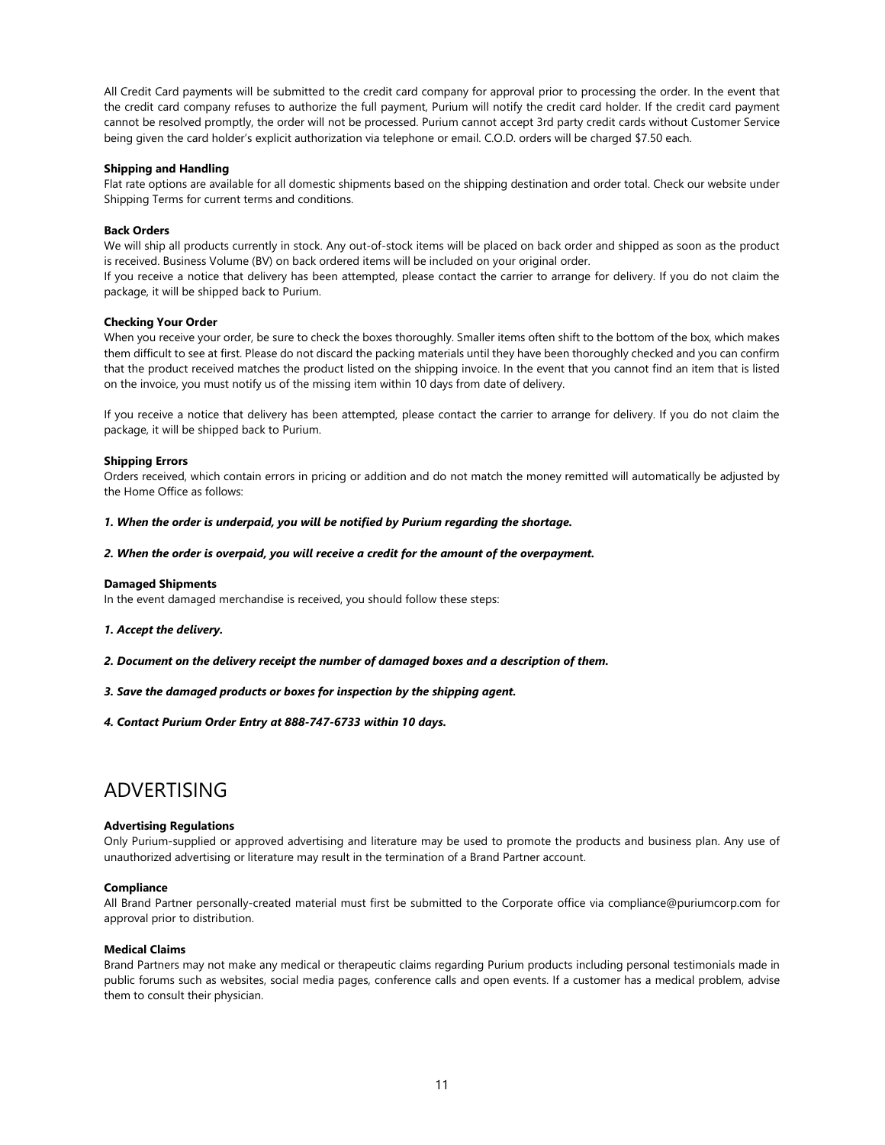All Credit Card payments will be submitted to the credit card company for approval prior to processing the order. In the event that the credit card company refuses to authorize the full payment, Purium will notify the credit card holder. If the credit card payment cannot be resolved promptly, the order will not be processed. Purium cannot accept 3rd party credit cards without Customer Service being given the card holder's explicit authorization via telephone or email. C.O.D. orders will be charged \$7.50 each.

## Shipping and Handling

Flat rate options are available for all domestic shipments based on the shipping destination and order total. Check our website under Shipping Terms for current terms and conditions.

## Back Orders

We will ship all products currently in stock. Any out-of-stock items will be placed on back order and shipped as soon as the product is received. Business Volume (BV) on back ordered items will be included on your original order.

If you receive a notice that delivery has been attempted, please contact the carrier to arrange for delivery. If you do not claim the package, it will be shipped back to Purium.

## Checking Your Order

When you receive your order, be sure to check the boxes thoroughly. Smaller items often shift to the bottom of the box, which makes them difficult to see at first. Please do not discard the packing materials until they have been thoroughly checked and you can confirm that the product received matches the product listed on the shipping invoice. In the event that you cannot find an item that is listed on the invoice, you must notify us of the missing item within 10 days from date of delivery.

If you receive a notice that delivery has been attempted, please contact the carrier to arrange for delivery. If you do not claim the package, it will be shipped back to Purium.

## Shipping Errors

Orders received, which contain errors in pricing or addition and do not match the money remitted will automatically be adjusted by the Home Office as follows:

## 1. When the order is underpaid, you will be notified by Purium regarding the shortage.

#### 2. When the order is overpaid, you will receive a credit for the amount of the overpayment.

#### Damaged Shipments

In the event damaged merchandise is received, you should follow these steps:

#### 1. Accept the delivery.

- 2. Document on the delivery receipt the number of damaged boxes and a description of them.
- 3. Save the damaged products or boxes for inspection by the shipping agent.
- 4. Contact Purium Order Entry at 888-747-6733 within 10 days.

## ADVERTISING

#### Advertising Regulations

Only Purium-supplied or approved advertising and literature may be used to promote the products and business plan. Any use of unauthorized advertising or literature may result in the termination of a Brand Partner account.

#### Compliance

All Brand Partner personally-created material must first be submitted to the Corporate office via compliance@puriumcorp.com for approval prior to distribution.

## Medical Claims

Brand Partners may not make any medical or therapeutic claims regarding Purium products including personal testimonials made in public forums such as websites, social media pages, conference calls and open events. If a customer has a medical problem, advise them to consult their physician.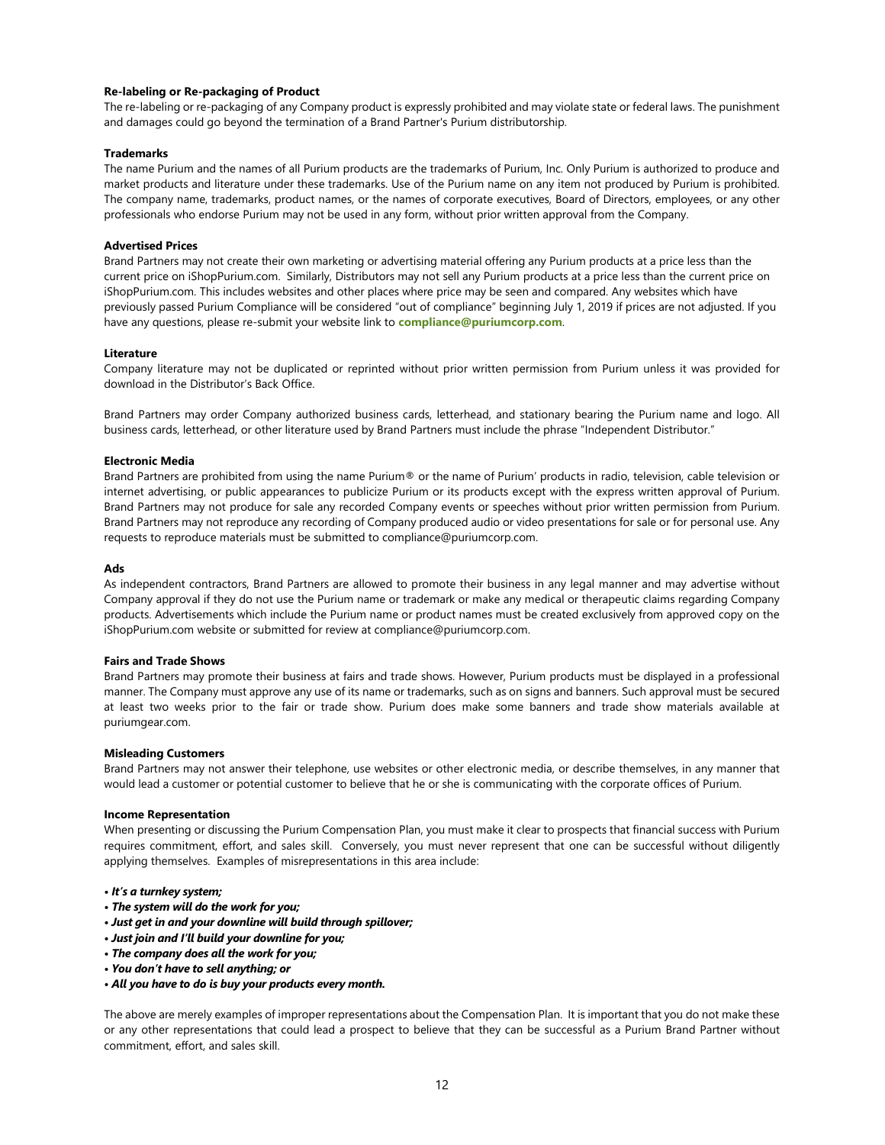## Re-labeling or Re-packaging of Product

The re-labeling or re-packaging of any Company product is expressly prohibited and may violate state or federal laws. The punishment and damages could go beyond the termination of a Brand Partner's Purium distributorship.

## **Trademarks**

The name Purium and the names of all Purium products are the trademarks of Purium, Inc. Only Purium is authorized to produce and market products and literature under these trademarks. Use of the Purium name on any item not produced by Purium is prohibited. The company name, trademarks, product names, or the names of corporate executives, Board of Directors, employees, or any other professionals who endorse Purium may not be used in any form, without prior written approval from the Company.

## Advertised Prices

Brand Partners may not create their own marketing or advertising material offering any Purium products at a price less than the current price on iShopPurium.com. Similarly, Distributors may not sell any Purium products at a price less than the current price on iShopPurium.com. This includes websites and other places where price may be seen and compared. Any websites which have previously passed Purium Compliance will be considered "out of compliance" beginning July 1, 2019 if prices are not adjusted. If you have any questions, please re-submit your website link to compliance@puriumcorp.com.

#### Literature

Company literature may not be duplicated or reprinted without prior written permission from Purium unless it was provided for download in the Distributor's Back Office.

Brand Partners may order Company authorized business cards, letterhead, and stationary bearing the Purium name and logo. All business cards, letterhead, or other literature used by Brand Partners must include the phrase "Independent Distributor."

## Electronic Media

Brand Partners are prohibited from using the name Purium® or the name of Purium' products in radio, television, cable television or internet advertising, or public appearances to publicize Purium or its products except with the express written approval of Purium. Brand Partners may not produce for sale any recorded Company events or speeches without prior written permission from Purium. Brand Partners may not reproduce any recording of Company produced audio or video presentations for sale or for personal use. Any requests to reproduce materials must be submitted to compliance@puriumcorp.com.

#### Ads

As independent contractors, Brand Partners are allowed to promote their business in any legal manner and may advertise without Company approval if they do not use the Purium name or trademark or make any medical or therapeutic claims regarding Company products. Advertisements which include the Purium name or product names must be created exclusively from approved copy on the iShopPurium.com website or submitted for review at compliance@puriumcorp.com.

### Fairs and Trade Shows

Brand Partners may promote their business at fairs and trade shows. However, Purium products must be displayed in a professional manner. The Company must approve any use of its name or trademarks, such as on signs and banners. Such approval must be secured at least two weeks prior to the fair or trade show. Purium does make some banners and trade show materials available at puriumgear.com.

#### Misleading Customers

Brand Partners may not answer their telephone, use websites or other electronic media, or describe themselves, in any manner that would lead a customer or potential customer to believe that he or she is communicating with the corporate offices of Purium.

## Income Representation

When presenting or discussing the Purium Compensation Plan, you must make it clear to prospects that financial success with Purium requires commitment, effort, and sales skill. Conversely, you must never represent that one can be successful without diligently applying themselves. Examples of misrepresentations in this area include:

- It's a turnkey system;
- The system will do the work for you;
- Just get in and your downline will build through spillover;
- Just join and I'll build your downline for you;
- The company does all the work for you;
- You don't have to sell anything; or
- All you have to do is buy your products every month.

The above are merely examples of improper representations about the Compensation Plan. It is important that you do not make these or any other representations that could lead a prospect to believe that they can be successful as a Purium Brand Partner without commitment, effort, and sales skill.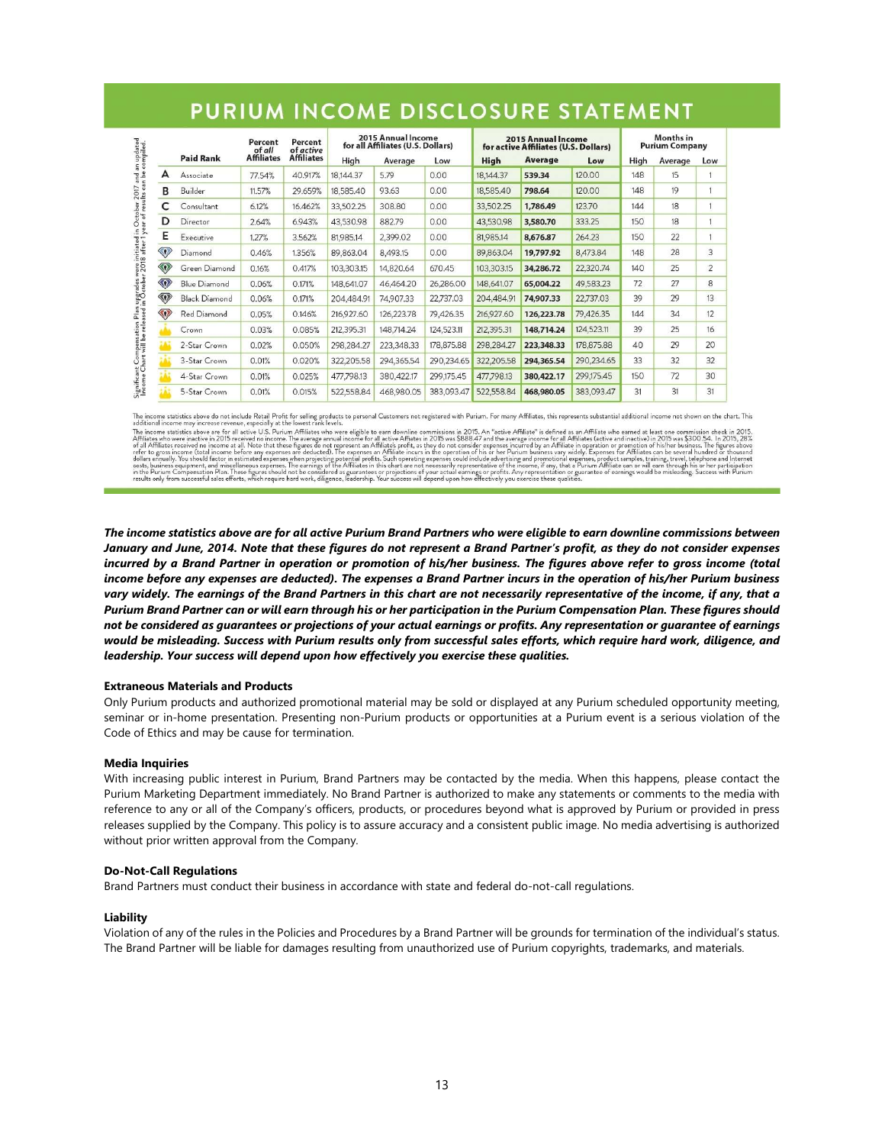|                         |                      | Percent<br>of all<br><b>Affiliates</b> | Percent<br>of active<br><b>Affiliates</b> | 2015 Annual Income<br>for all Affiliates (U.S. Dollars) |            |            | <b>2015 Annual Income</b><br>for active Affiliates (U.S. Dollars) |            |            | <b>Months</b> in<br><b>Purium Company</b> |         |                |
|-------------------------|----------------------|----------------------------------------|-------------------------------------------|---------------------------------------------------------|------------|------------|-------------------------------------------------------------------|------------|------------|-------------------------------------------|---------|----------------|
|                         | <b>Paid Rank</b>     |                                        |                                           | High                                                    | Average    | Low        | <b>High</b>                                                       | Average    | Low        | High                                      | Average | Low            |
| A                       | Associate            | 77.54%                                 | 40.917%                                   | 18,144.37                                               | 5.79       | 0.00       | 18,144.37                                                         | 539.34     | 120.00     | 148                                       | 15      |                |
| B                       | Builder              | 11.57%                                 | 29.659%                                   | 18,585.40                                               | 93.63      | 0.00       | 18,585.40                                                         | 798.64     | 120.00     | 148                                       | 19      |                |
| c                       | Consultant           | 6.12%                                  | 16.462%                                   | 33,502.25                                               | 308.80     | 0.00       | 33,502.25                                                         | 1,786.49   | 123.70     | 144                                       | 18      |                |
| D                       | Director             | 2.64%                                  | 6.943%                                    | 43,530.98                                               | 882.79     | 0.00       | 43,530.98                                                         | 3,580.70   | 333.25     | 150                                       | 18      |                |
| Е                       | Executive            | 1.27%                                  | 3.562%                                    | 81,985.14                                               | 2,399.02   | 0.00       | 81,985.14                                                         | 8,676.87   | 264.23     | 150                                       | 22      |                |
| $\langle \cdot \rangle$ | Diamond              | 0.46%                                  | 1.356%                                    | 89,863.04                                               | 8,493.15   | 0.00       | 89.863.04                                                         | 19,797.92  | 8,473.84   | 148                                       | 28      | 3              |
| $\langle 0 \rangle$     | Green Diamond        | 0.16%                                  | 0.417%                                    | 103,303.15                                              | 14,820.64  | 670.45     | 103,303.15                                                        | 34,286.72  | 22,320.74  | 140                                       | 25      | $\overline{2}$ |
| $\langle 0 \rangle$     | <b>Blue Diamond</b>  | 0.06%                                  | 0.171%                                    | 148,641.07                                              | 46,464.20  | 26,286,00  | 148,641,07                                                        | 65,004.22  | 49.583.23  | 72                                        | 27      | 8              |
| $\textcircled{r}$       | <b>Black Diamond</b> | 0.06%                                  | 0.171%                                    | 204,484.91                                              | 74,907.33  | 22,737.03  | 204,484.91                                                        | 74.907.33  | 22,737.03  | 39                                        | 29      | 13             |
| $\langle 0 \rangle$     | Red Diamond          | 0.05%                                  | 0.146%                                    | 216,927.60                                              | 126,223.78 | 79,426.35  | 216,927.60                                                        | 126,223.78 | 79,426.35  | 144                                       | 34      | 12             |
|                         | Crown                | 0.03%                                  | 0.085%                                    | 212,395.31                                              | 148,714.24 | 124,523.11 | 212,395.31                                                        | 148,714.24 | 124,523.11 | 39                                        | 25      | 16             |
|                         | 2-Star Crown         | 0.02%                                  | 0.050%                                    | 298,284.27                                              | 223,348.33 | 178,875.88 | 298,284.27                                                        | 223,348.33 | 178,875.88 | 40                                        | 29      | 20             |
|                         | 3-Star Crown         | 0.01%                                  | 0.020%                                    | 322,205.58                                              | 294,365.54 | 290,234.65 | 322,205.58                                                        | 294,365.54 | 290,234.65 | 33                                        | 32      | 32             |
|                         | 4-Star Crown         | 0.01%                                  | 0.025%                                    | 477,798.13                                              | 380,422.17 | 299,175.45 | 477.798.13                                                        | 380,422.17 | 299,175.45 | 150                                       | 72      | 30             |
|                         | 5-Star Crown         | 0.01%                                  | 0.015%                                    | 522,558.84                                              | 468,980.05 | 383,093.47 | 522,558.84                                                        | 468,980.05 | 383,093.47 | 31                                        | 31      | 31             |

# PURIUM INCOME DISCLOSURE STATEMENT

The income statistics above do not include Retail Profit for selling products to personal Customers not registered with Purium. For many Affiliates, this represents substantial additional income not shown on the chart. Thi

diditional income may increase revenue, especially at the lowest rank levels. Such a personal income statistics above are for all active U.S. Purium Affiliates who were eligible to earn downline commissions in 2015. An "ac

The income statistics above are for all active Purium Brand Partners who were eligible to earn downline commissions between January and June, 2014. Note that these figures do not represent a Brand Partner's profit, as they do not consider expenses incurred by a Brand Partner in operation or promotion of his/her business. The figures above refer to gross income (total income before any expenses are deducted). The expenses a Brand Partner incurs in the operation of his/her Purium business vary widely. The earnings of the Brand Partners in this chart are not necessarily representative of the income, if any, that a Purium Brand Partner can or will earn through his or her participation in the Purium Compensation Plan. These figures should not be considered as guarantees or projections of your actual earnings or profits. Any representation or guarantee of earnings would be misleading. Success with Purium results only from successful sales efforts, which require hard work, diligence, and leadership. Your success will depend upon how effectively you exercise these qualities.

## Extraneous Materials and Products

Only Purium products and authorized promotional material may be sold or displayed at any Purium scheduled opportunity meeting, seminar or in-home presentation. Presenting non-Purium products or opportunities at a Purium event is a serious violation of the Code of Ethics and may be cause for termination.

## Media Inquiries

With increasing public interest in Purium, Brand Partners may be contacted by the media. When this happens, please contact the Purium Marketing Department immediately. No Brand Partner is authorized to make any statements or comments to the media with reference to any or all of the Company's officers, products, or procedures beyond what is approved by Purium or provided in press releases supplied by the Company. This policy is to assure accuracy and a consistent public image. No media advertising is authorized without prior written approval from the Company.

## Do-Not-Call Regulations

Brand Partners must conduct their business in accordance with state and federal do-not-call regulations.

## Liability

Violation of any of the rules in the Policies and Procedures by a Brand Partner will be grounds for termination of the individual's status. The Brand Partner will be liable for damages resulting from unauthorized use of Purium copyrights, trademarks, and materials.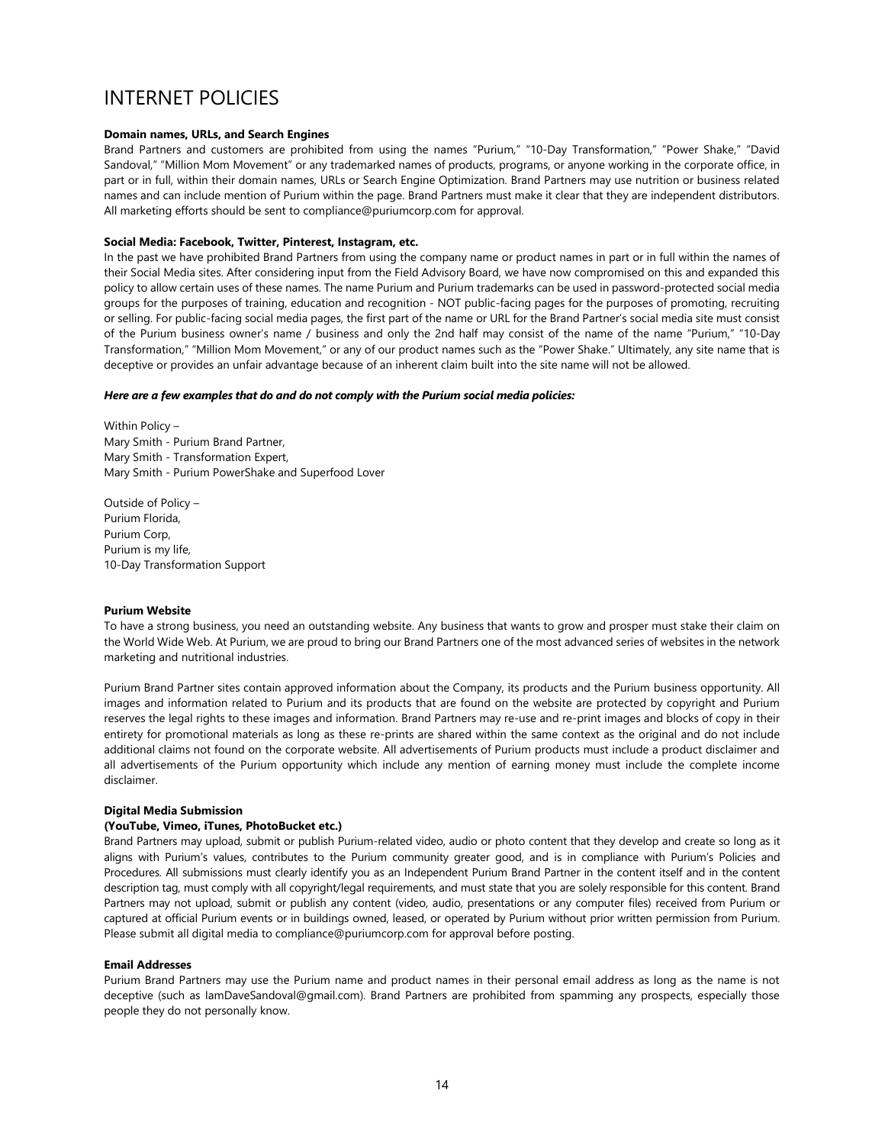## INTERNET POLICIES

## Domain names, URLs, and Search Engines

Brand Partners and customers are prohibited from using the names "Purium," "10-Day Transformation," "Power Shake," "David Sandoval," "Million Mom Movement" or any trademarked names of products, programs, or anyone working in the corporate office, in part or in full, within their domain names, URLs or Search Engine Optimization. Brand Partners may use nutrition or business related names and can include mention of Purium within the page. Brand Partners must make it clear that they are independent distributors. All marketing efforts should be sent to compliance@puriumcorp.com for approval.

## Social Media: Facebook, Twitter, Pinterest, Instagram, etc.

In the past we have prohibited Brand Partners from using the company name or product names in part or in full within the names of their Social Media sites. After considering input from the Field Advisory Board, we have now compromised on this and expanded this policy to allow certain uses of these names. The name Purium and Purium trademarks can be used in password-protected social media groups for the purposes of training, education and recognition - NOT public-facing pages for the purposes of promoting, recruiting or selling. For public-facing social media pages, the first part of the name or URL for the Brand Partner's social media site must consist of the Purium business owner's name / business and only the 2nd half may consist of the name of the name "Purium," "10-Day Transformation," "Million Mom Movement," or any of our product names such as the "Power Shake." Ultimately, any site name that is deceptive or provides an unfair advantage because of an inherent claim built into the site name will not be allowed.

## Here are a few examples that do and do not comply with the Purium social media policies:

Within Policy – Mary Smith - Purium Brand Partner, Mary Smith - Transformation Expert, Mary Smith - Purium PowerShake and Superfood Lover

Outside of Policy – Purium Florida, Purium Corp, Purium is my life, 10-Day Transformation Support

## Purium Website

To have a strong business, you need an outstanding website. Any business that wants to grow and prosper must stake their claim on the World Wide Web. At Purium, we are proud to bring our Brand Partners one of the most advanced series of websites in the network marketing and nutritional industries.

Purium Brand Partner sites contain approved information about the Company, its products and the Purium business opportunity. All images and information related to Purium and its products that are found on the website are protected by copyright and Purium reserves the legal rights to these images and information. Brand Partners may re-use and re-print images and blocks of copy in their entirety for promotional materials as long as these re-prints are shared within the same context as the original and do not include additional claims not found on the corporate website. All advertisements of Purium products must include a product disclaimer and all advertisements of the Purium opportunity which include any mention of earning money must include the complete income disclaimer.

## Digital Media Submission

## (YouTube, Vimeo, iTunes, PhotoBucket etc.)

Brand Partners may upload, submit or publish Purium-related video, audio or photo content that they develop and create so long as it aligns with Purium's values, contributes to the Purium community greater good, and is in compliance with Purium's Policies and Procedures. All submissions must clearly identify you as an Independent Purium Brand Partner in the content itself and in the content description tag, must comply with all copyright/legal requirements, and must state that you are solely responsible for this content. Brand Partners may not upload, submit or publish any content (video, audio, presentations or any computer files) received from Purium or captured at official Purium events or in buildings owned, leased, or operated by Purium without prior written permission from Purium. Please submit all digital media to compliance@puriumcorp.com for approval before posting.

### Email Addresses

Purium Brand Partners may use the Purium name and product names in their personal email address as long as the name is not deceptive (such as IamDaveSandoval@gmail.com). Brand Partners are prohibited from spamming any prospects, especially those people they do not personally know.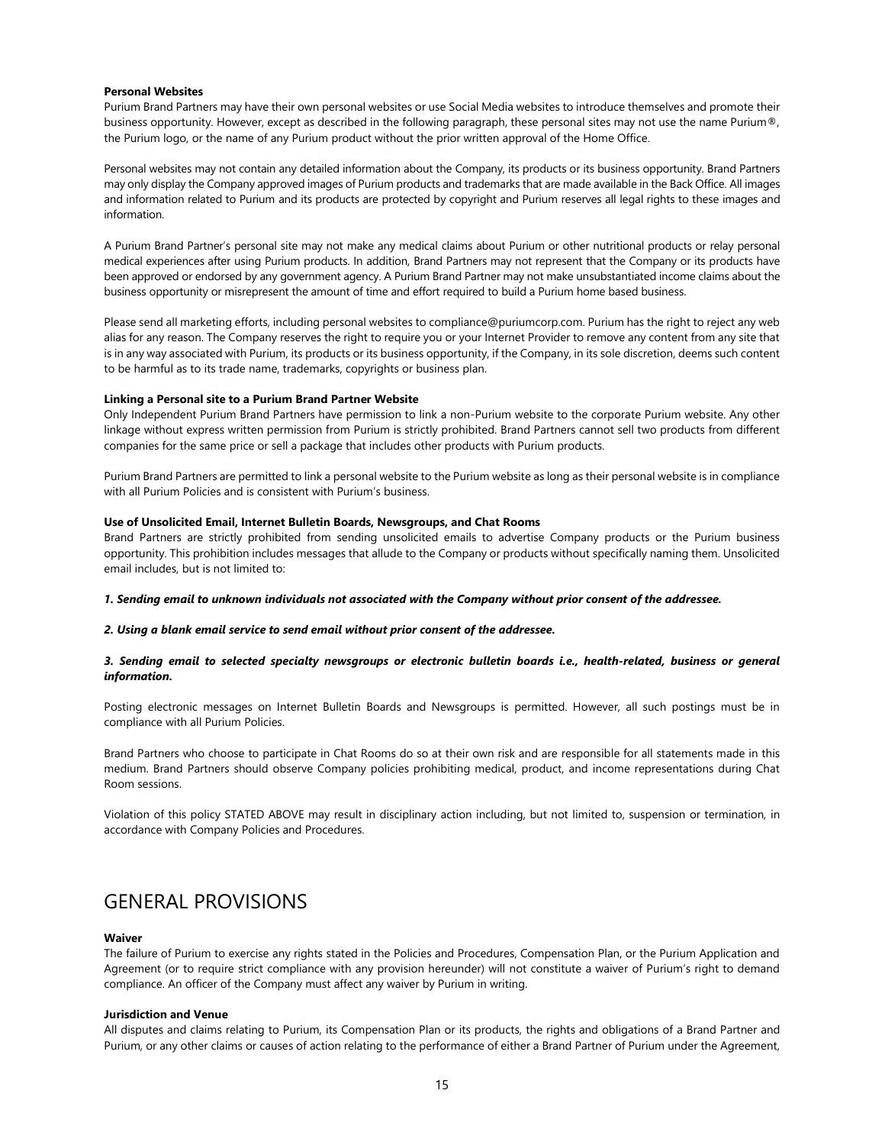### Personal Websites

Purium Brand Partners may have their own personal websites or use Social Media websites to introduce themselves and promote their business opportunity. However, except as described in the following paragraph, these personal sites may not use the name Purium®, the Purium logo, or the name of any Purium product without the prior written approval of the Home Office.

Personal websites may not contain any detailed information about the Company, its products or its business opportunity. Brand Partners may only display the Company approved images of Purium products and trademarks that are made available in the Back Office. All images and information related to Purium and its products are protected by copyright and Purium reserves all legal rights to these images and information.

A Purium Brand Partner's personal site may not make any medical claims about Purium or other nutritional products or relay personal medical experiences after using Purium products. In addition, Brand Partners may not represent that the Company or its products have been approved or endorsed by any government agency. A Purium Brand Partner may not make unsubstantiated income claims about the business opportunity or misrepresent the amount of time and effort required to build a Purium home based business.

Please send all marketing efforts, including personal websites to compliance@puriumcorp.com. Purium has the right to reject any web alias for any reason. The Company reserves the right to require you or your Internet Provider to remove any content from any site that is in any way associated with Purium, its products or its business opportunity, if the Company, in its sole discretion, deems such content to be harmful as to its trade name, trademarks, copyrights or business plan.

### Linking a Personal site to a Purium Brand Partner Website

Only Independent Purium Brand Partners have permission to link a non-Purium website to the corporate Purium website. Any other linkage without express written permission from Purium is strictly prohibited. Brand Partners cannot sell two products from different companies for the same price or sell a package that includes other products with Purium products.

Purium Brand Partners are permitted to link a personal website to the Purium website as long as their personal website is in compliance with all Purium Policies and is consistent with Purium's business.

## Use of Unsolicited Email, Internet Bulletin Boards, Newsgroups, and Chat Rooms

Brand Partners are strictly prohibited from sending unsolicited emails to advertise Company products or the Purium business opportunity. This prohibition includes messages that allude to the Company or products without specifically naming them. Unsolicited email includes, but is not limited to:

#### 1. Sending email to unknown individuals not associated with the Company without prior consent of the addressee.

## 2. Using a blank email service to send email without prior consent of the addressee.

## 3. Sending email to selected specialty newsgroups or electronic bulletin boards i.e., health-related, business or general information.

Posting electronic messages on Internet Bulletin Boards and Newsgroups is permitted. However, all such postings must be in compliance with all Purium Policies.

Brand Partners who choose to participate in Chat Rooms do so at their own risk and are responsible for all statements made in this medium. Brand Partners should observe Company policies prohibiting medical, product, and income representations during Chat Room sessions.

Violation of this policy STATED ABOVE may result in disciplinary action including, but not limited to, suspension or termination, in accordance with Company Policies and Procedures.

## GENERAL PROVISIONS

#### Waiver

The failure of Purium to exercise any rights stated in the Policies and Procedures, Compensation Plan, or the Purium Application and Agreement (or to require strict compliance with any provision hereunder) will not constitute a waiver of Purium's right to demand compliance. An officer of the Company must affect any waiver by Purium in writing.

#### Jurisdiction and Venue

All disputes and claims relating to Purium, its Compensation Plan or its products, the rights and obligations of a Brand Partner and Purium, or any other claims or causes of action relating to the performance of either a Brand Partner of Purium under the Agreement,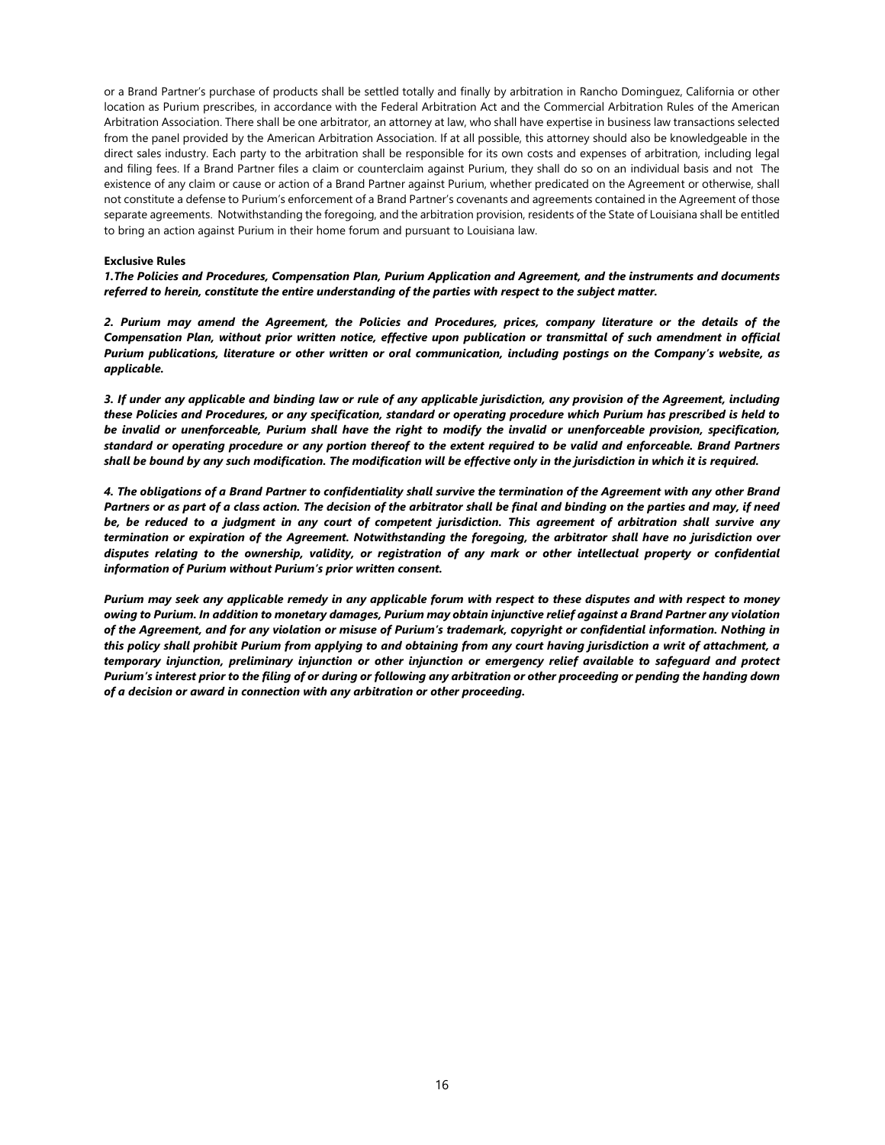or a Brand Partner's purchase of products shall be settled totally and finally by arbitration in Rancho Dominguez, California or other location as Purium prescribes, in accordance with the Federal Arbitration Act and the Commercial Arbitration Rules of the American Arbitration Association. There shall be one arbitrator, an attorney at law, who shall have expertise in business law transactions selected from the panel provided by the American Arbitration Association. If at all possible, this attorney should also be knowledgeable in the direct sales industry. Each party to the arbitration shall be responsible for its own costs and expenses of arbitration, including legal and filing fees. If a Brand Partner files a claim or counterclaim against Purium, they shall do so on an individual basis and not The existence of any claim or cause or action of a Brand Partner against Purium, whether predicated on the Agreement or otherwise, shall not constitute a defense to Purium's enforcement of a Brand Partner's covenants and agreements contained in the Agreement of those separate agreements. Notwithstanding the foregoing, and the arbitration provision, residents of the State of Louisiana shall be entitled to bring an action against Purium in their home forum and pursuant to Louisiana law.

## Exclusive Rules

1.The Policies and Procedures, Compensation Plan, Purium Application and Agreement, and the instruments and documents referred to herein, constitute the entire understanding of the parties with respect to the subject matter.

2. Purium may amend the Agreement, the Policies and Procedures, prices, company literature or the details of the Compensation Plan, without prior written notice, effective upon publication or transmittal of such amendment in official Purium publications, literature or other written or oral communication, including postings on the Company's website, as applicable.

3. If under any applicable and binding law or rule of any applicable jurisdiction, any provision of the Agreement, including these Policies and Procedures, or any specification, standard or operating procedure which Purium has prescribed is held to be invalid or unenforceable, Purium shall have the right to modify the invalid or unenforceable provision, specification, standard or operating procedure or any portion thereof to the extent required to be valid and enforceable. Brand Partners shall be bound by any such modification. The modification will be effective only in the jurisdiction in which it is required.

4. The obligations of a Brand Partner to confidentiality shall survive the termination of the Agreement with any other Brand Partners or as part of a class action. The decision of the arbitrator shall be final and binding on the parties and may, if need be, be reduced to a judgment in any court of competent jurisdiction. This agreement of arbitration shall survive any termination or expiration of the Agreement. Notwithstanding the foregoing, the arbitrator shall have no jurisdiction over disputes relating to the ownership, validity, or registration of any mark or other intellectual property or confidential information of Purium without Purium's prior written consent.

Purium may seek any applicable remedy in any applicable forum with respect to these disputes and with respect to money owing to Purium. In addition to monetary damages, Purium may obtain injunctive relief against a Brand Partner any violation of the Agreement, and for any violation or misuse of Purium's trademark, copyright or confidential information. Nothing in this policy shall prohibit Purium from applying to and obtaining from any court having jurisdiction a writ of attachment, a temporary injunction, preliminary injunction or other injunction or emergency relief available to safeguard and protect Purium's interest prior to the filing of or during or following any arbitration or other proceeding or pending the handing down of a decision or award in connection with any arbitration or other proceeding.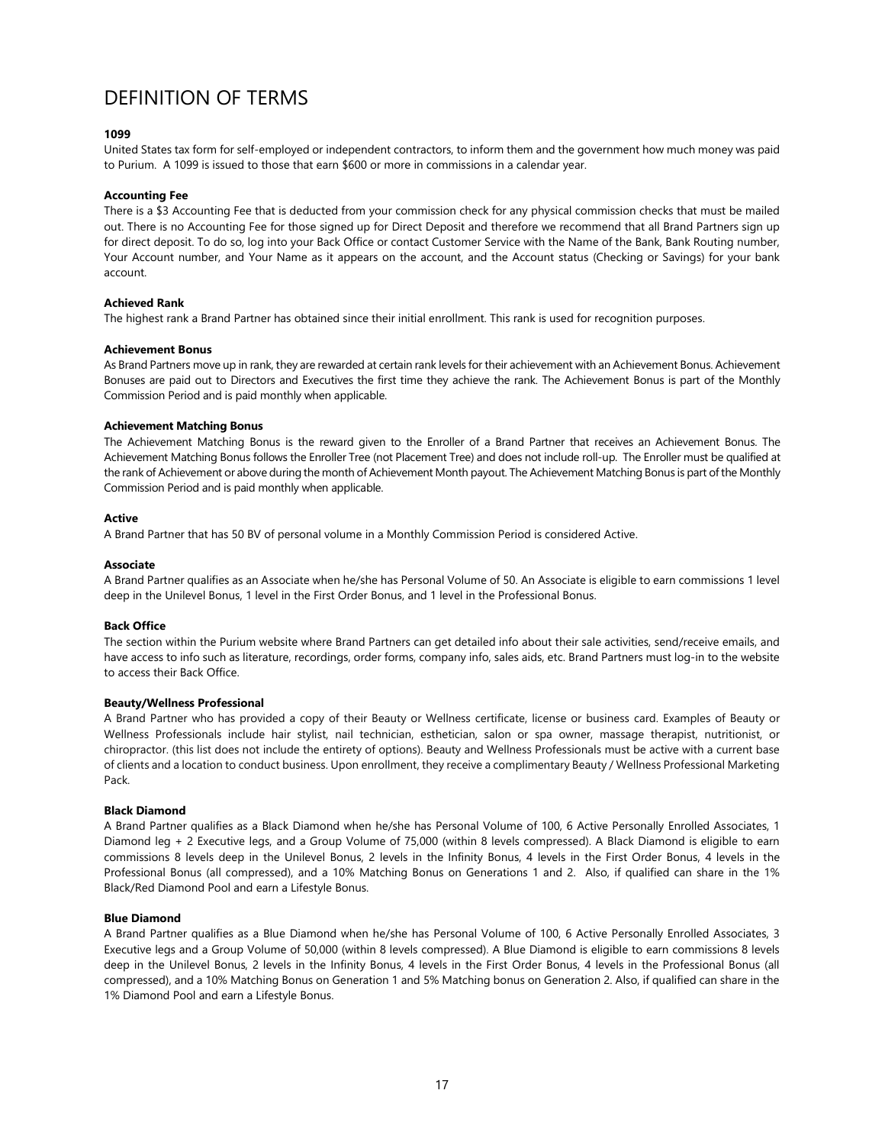## DEFINITION OF TERMS

## 1099

United States tax form for self-employed or independent contractors, to inform them and the government how much money was paid to Purium. A 1099 is issued to those that earn \$600 or more in commissions in a calendar year.

## Accounting Fee

There is a \$3 Accounting Fee that is deducted from your commission check for any physical commission checks that must be mailed out. There is no Accounting Fee for those signed up for Direct Deposit and therefore we recommend that all Brand Partners sign up for direct deposit. To do so, log into your Back Office or contact Customer Service with the Name of the Bank, Bank Routing number, Your Account number, and Your Name as it appears on the account, and the Account status (Checking or Savings) for your bank account.

## Achieved Rank

The highest rank a Brand Partner has obtained since their initial enrollment. This rank is used for recognition purposes.

## Achievement Bonus

As Brand Partners move up in rank, they are rewarded at certain rank levels for their achievement with an Achievement Bonus. Achievement Bonuses are paid out to Directors and Executives the first time they achieve the rank. The Achievement Bonus is part of the Monthly Commission Period and is paid monthly when applicable.

## Achievement Matching Bonus

The Achievement Matching Bonus is the reward given to the Enroller of a Brand Partner that receives an Achievement Bonus. The Achievement Matching Bonus follows the Enroller Tree (not Placement Tree) and does not include roll-up. The Enroller must be qualified at the rank of Achievement or above during the month of Achievement Month payout. The Achievement Matching Bonus is part of the Monthly Commission Period and is paid monthly when applicable.

## Active

A Brand Partner that has 50 BV of personal volume in a Monthly Commission Period is considered Active.

## Associate

A Brand Partner qualifies as an Associate when he/she has Personal Volume of 50. An Associate is eligible to earn commissions 1 level deep in the Unilevel Bonus, 1 level in the First Order Bonus, and 1 level in the Professional Bonus.

## Back Office

The section within the Purium website where Brand Partners can get detailed info about their sale activities, send/receive emails, and have access to info such as literature, recordings, order forms, company info, sales aids, etc. Brand Partners must log-in to the website to access their Back Office.

## Beauty/Wellness Professional

A Brand Partner who has provided a copy of their Beauty or Wellness certificate, license or business card. Examples of Beauty or Wellness Professionals include hair stylist, nail technician, esthetician, salon or spa owner, massage therapist, nutritionist, or chiropractor. (this list does not include the entirety of options). Beauty and Wellness Professionals must be active with a current base of clients and a location to conduct business. Upon enrollment, they receive a complimentary Beauty / Wellness Professional Marketing Pack.

## Black Diamond

A Brand Partner qualifies as a Black Diamond when he/she has Personal Volume of 100, 6 Active Personally Enrolled Associates, 1 Diamond leg + 2 Executive legs, and a Group Volume of 75,000 (within 8 levels compressed). A Black Diamond is eligible to earn commissions 8 levels deep in the Unilevel Bonus, 2 levels in the Infinity Bonus, 4 levels in the First Order Bonus, 4 levels in the Professional Bonus (all compressed), and a 10% Matching Bonus on Generations 1 and 2. Also, if qualified can share in the 1% Black/Red Diamond Pool and earn a Lifestyle Bonus.

#### Blue Diamond

A Brand Partner qualifies as a Blue Diamond when he/she has Personal Volume of 100, 6 Active Personally Enrolled Associates, 3 Executive legs and a Group Volume of 50,000 (within 8 levels compressed). A Blue Diamond is eligible to earn commissions 8 levels deep in the Unilevel Bonus, 2 levels in the Infinity Bonus, 4 levels in the First Order Bonus, 4 levels in the Professional Bonus (all compressed), and a 10% Matching Bonus on Generation 1 and 5% Matching bonus on Generation 2. Also, if qualified can share in the 1% Diamond Pool and earn a Lifestyle Bonus.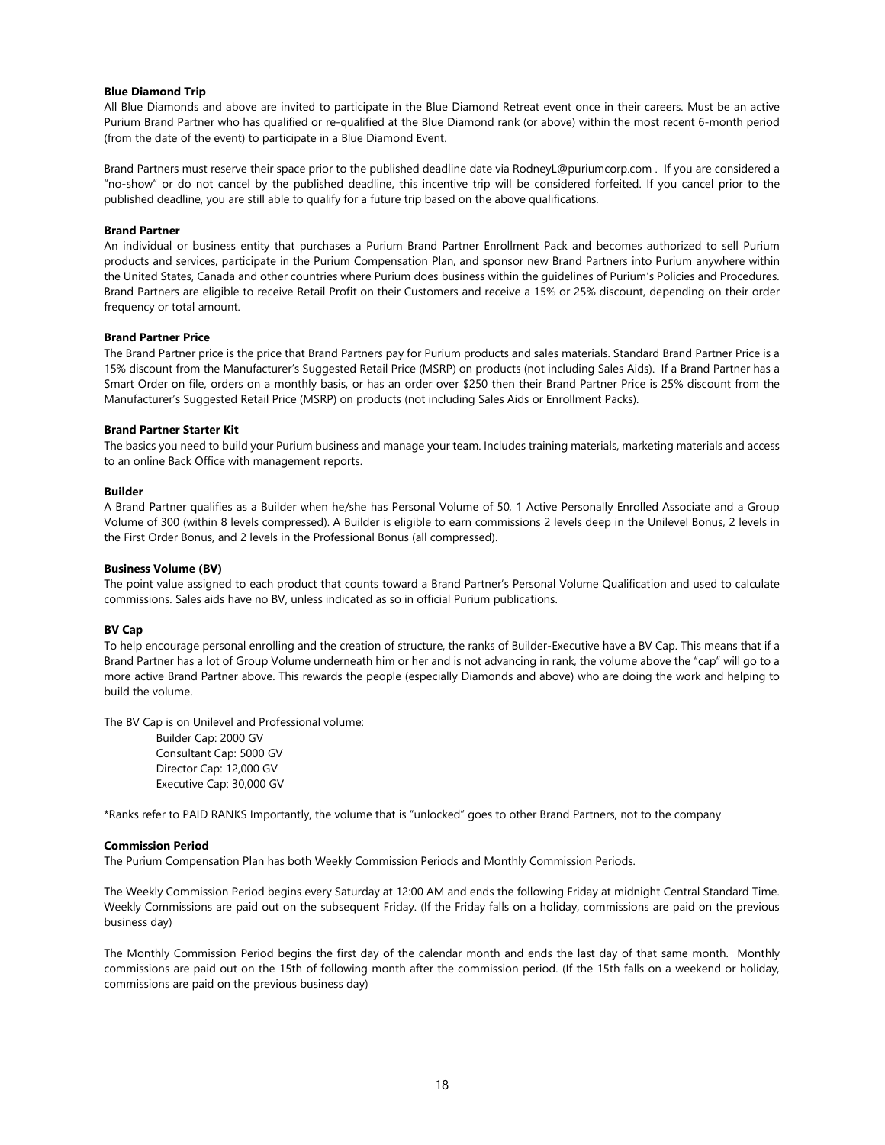## Blue Diamond Trip

All Blue Diamonds and above are invited to participate in the Blue Diamond Retreat event once in their careers. Must be an active Purium Brand Partner who has qualified or re-qualified at the Blue Diamond rank (or above) within the most recent 6-month period (from the date of the event) to participate in a Blue Diamond Event.

Brand Partners must reserve their space prior to the published deadline date via RodneyL@puriumcorp.com . If you are considered a "no-show" or do not cancel by the published deadline, this incentive trip will be considered forfeited. If you cancel prior to the published deadline, you are still able to qualify for a future trip based on the above qualifications.

## Brand Partner

An individual or business entity that purchases a Purium Brand Partner Enrollment Pack and becomes authorized to sell Purium products and services, participate in the Purium Compensation Plan, and sponsor new Brand Partners into Purium anywhere within the United States, Canada and other countries where Purium does business within the guidelines of Purium's Policies and Procedures. Brand Partners are eligible to receive Retail Profit on their Customers and receive a 15% or 25% discount, depending on their order frequency or total amount.

## Brand Partner Price

The Brand Partner price is the price that Brand Partners pay for Purium products and sales materials. Standard Brand Partner Price is a 15% discount from the Manufacturer's Suggested Retail Price (MSRP) on products (not including Sales Aids). If a Brand Partner has a Smart Order on file, orders on a monthly basis, or has an order over \$250 then their Brand Partner Price is 25% discount from the Manufacturer's Suggested Retail Price (MSRP) on products (not including Sales Aids or Enrollment Packs).

## Brand Partner Starter Kit

The basics you need to build your Purium business and manage your team. Includes training materials, marketing materials and access to an online Back Office with management reports.

#### Builder

A Brand Partner qualifies as a Builder when he/she has Personal Volume of 50, 1 Active Personally Enrolled Associate and a Group Volume of 300 (within 8 levels compressed). A Builder is eligible to earn commissions 2 levels deep in the Unilevel Bonus, 2 levels in the First Order Bonus, and 2 levels in the Professional Bonus (all compressed).

### Business Volume (BV)

The point value assigned to each product that counts toward a Brand Partner's Personal Volume Qualification and used to calculate commissions. Sales aids have no BV, unless indicated as so in official Purium publications.

## BV Cap

To help encourage personal enrolling and the creation of structure, the ranks of Builder-Executive have a BV Cap. This means that if a Brand Partner has a lot of Group Volume underneath him or her and is not advancing in rank, the volume above the "cap" will go to a more active Brand Partner above. This rewards the people (especially Diamonds and above) who are doing the work and helping to build the volume.

The BV Cap is on Unilevel and Professional volume:

Builder Cap: 2000 GV Consultant Cap: 5000 GV Director Cap: 12,000 GV Executive Cap: 30,000 GV

\*Ranks refer to PAID RANKS Importantly, the volume that is "unlocked" goes to other Brand Partners, not to the company

#### Commission Period

The Purium Compensation Plan has both Weekly Commission Periods and Monthly Commission Periods.

The Weekly Commission Period begins every Saturday at 12:00 AM and ends the following Friday at midnight Central Standard Time. Weekly Commissions are paid out on the subsequent Friday. (If the Friday falls on a holiday, commissions are paid on the previous business day)

The Monthly Commission Period begins the first day of the calendar month and ends the last day of that same month. Monthly commissions are paid out on the 15th of following month after the commission period. (If the 15th falls on a weekend or holiday, commissions are paid on the previous business day)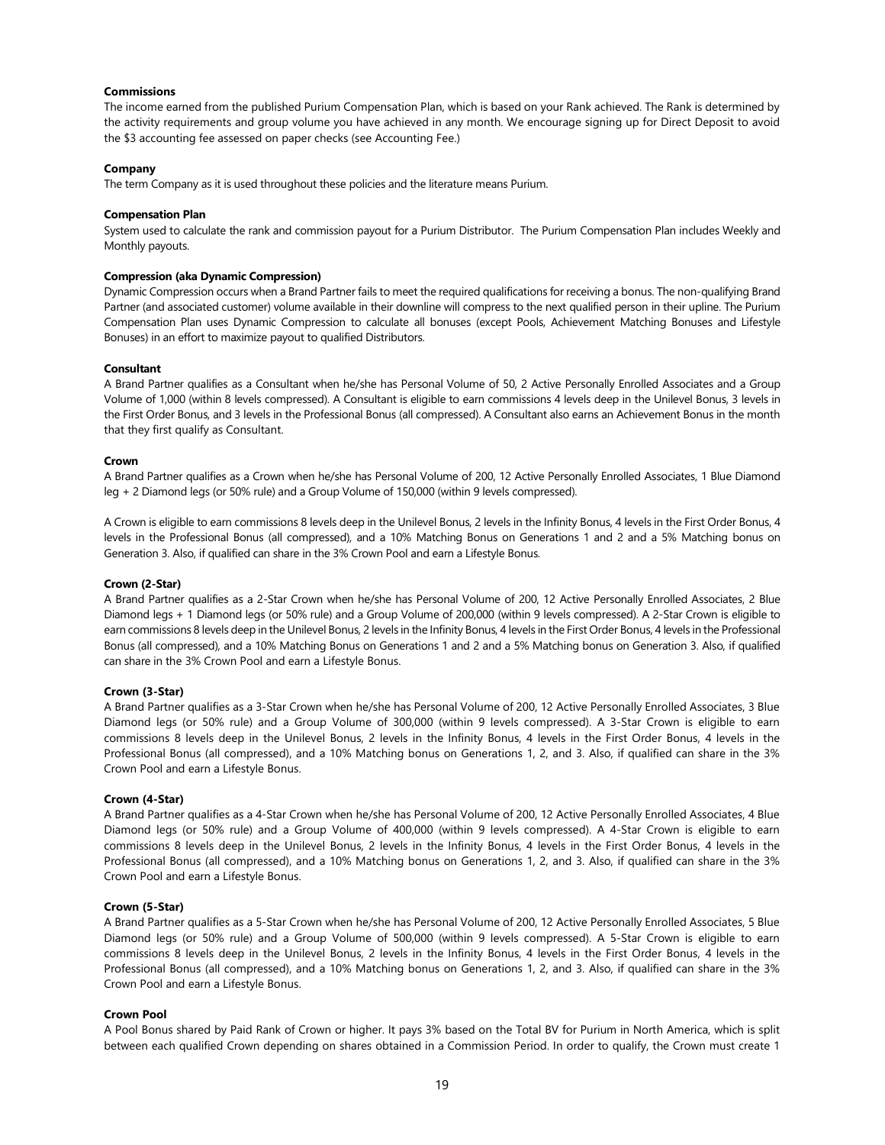## Commissions

The income earned from the published Purium Compensation Plan, which is based on your Rank achieved. The Rank is determined by the activity requirements and group volume you have achieved in any month. We encourage signing up for Direct Deposit to avoid the \$3 accounting fee assessed on paper checks (see Accounting Fee.)

## Company

The term Company as it is used throughout these policies and the literature means Purium.

#### Compensation Plan

System used to calculate the rank and commission payout for a Purium Distributor. The Purium Compensation Plan includes Weekly and Monthly payouts.

## Compression (aka Dynamic Compression)

Dynamic Compression occurs when a Brand Partner fails to meet the required qualifications for receiving a bonus. The non-qualifying Brand Partner (and associated customer) volume available in their downline will compress to the next qualified person in their upline. The Purium Compensation Plan uses Dynamic Compression to calculate all bonuses (except Pools, Achievement Matching Bonuses and Lifestyle Bonuses) in an effort to maximize payout to qualified Distributors.

#### **Consultant**

A Brand Partner qualifies as a Consultant when he/she has Personal Volume of 50, 2 Active Personally Enrolled Associates and a Group Volume of 1,000 (within 8 levels compressed). A Consultant is eligible to earn commissions 4 levels deep in the Unilevel Bonus, 3 levels in the First Order Bonus, and 3 levels in the Professional Bonus (all compressed). A Consultant also earns an Achievement Bonus in the month that they first qualify as Consultant.

#### Crown

A Brand Partner qualifies as a Crown when he/she has Personal Volume of 200, 12 Active Personally Enrolled Associates, 1 Blue Diamond leg + 2 Diamond legs (or 50% rule) and a Group Volume of 150,000 (within 9 levels compressed).

A Crown is eligible to earn commissions 8 levels deep in the Unilevel Bonus, 2 levels in the Infinity Bonus, 4 levels in the First Order Bonus, 4 levels in the Professional Bonus (all compressed), and a 10% Matching Bonus on Generations 1 and 2 and a 5% Matching bonus on Generation 3. Also, if qualified can share in the 3% Crown Pool and earn a Lifestyle Bonus.

#### Crown (2-Star)

A Brand Partner qualifies as a 2-Star Crown when he/she has Personal Volume of 200, 12 Active Personally Enrolled Associates, 2 Blue Diamond legs + 1 Diamond legs (or 50% rule) and a Group Volume of 200,000 (within 9 levels compressed). A 2-Star Crown is eligible to earn commissions 8 levels deep in the Unilevel Bonus, 2 levels in the Infinity Bonus, 4 levels in the First Order Bonus, 4 levels in the Professional Bonus (all compressed), and a 10% Matching Bonus on Generations 1 and 2 and a 5% Matching bonus on Generation 3. Also, if qualified can share in the 3% Crown Pool and earn a Lifestyle Bonus.

## Crown (3-Star)

A Brand Partner qualifies as a 3-Star Crown when he/she has Personal Volume of 200, 12 Active Personally Enrolled Associates, 3 Blue Diamond legs (or 50% rule) and a Group Volume of 300,000 (within 9 levels compressed). A 3-Star Crown is eligible to earn commissions 8 levels deep in the Unilevel Bonus, 2 levels in the Infinity Bonus, 4 levels in the First Order Bonus, 4 levels in the Professional Bonus (all compressed), and a 10% Matching bonus on Generations 1, 2, and 3. Also, if qualified can share in the 3% Crown Pool and earn a Lifestyle Bonus.

#### Crown (4-Star)

A Brand Partner qualifies as a 4-Star Crown when he/she has Personal Volume of 200, 12 Active Personally Enrolled Associates, 4 Blue Diamond legs (or 50% rule) and a Group Volume of 400,000 (within 9 levels compressed). A 4-Star Crown is eligible to earn commissions 8 levels deep in the Unilevel Bonus, 2 levels in the Infinity Bonus, 4 levels in the First Order Bonus, 4 levels in the Professional Bonus (all compressed), and a 10% Matching bonus on Generations 1, 2, and 3. Also, if qualified can share in the 3% Crown Pool and earn a Lifestyle Bonus.

## Crown (5-Star)

A Brand Partner qualifies as a 5-Star Crown when he/she has Personal Volume of 200, 12 Active Personally Enrolled Associates, 5 Blue Diamond legs (or 50% rule) and a Group Volume of 500,000 (within 9 levels compressed). A 5-Star Crown is eligible to earn commissions 8 levels deep in the Unilevel Bonus, 2 levels in the Infinity Bonus, 4 levels in the First Order Bonus, 4 levels in the Professional Bonus (all compressed), and a 10% Matching bonus on Generations 1, 2, and 3. Also, if qualified can share in the 3% Crown Pool and earn a Lifestyle Bonus.

## Crown Pool

A Pool Bonus shared by Paid Rank of Crown or higher. It pays 3% based on the Total BV for Purium in North America, which is split between each qualified Crown depending on shares obtained in a Commission Period. In order to qualify, the Crown must create 1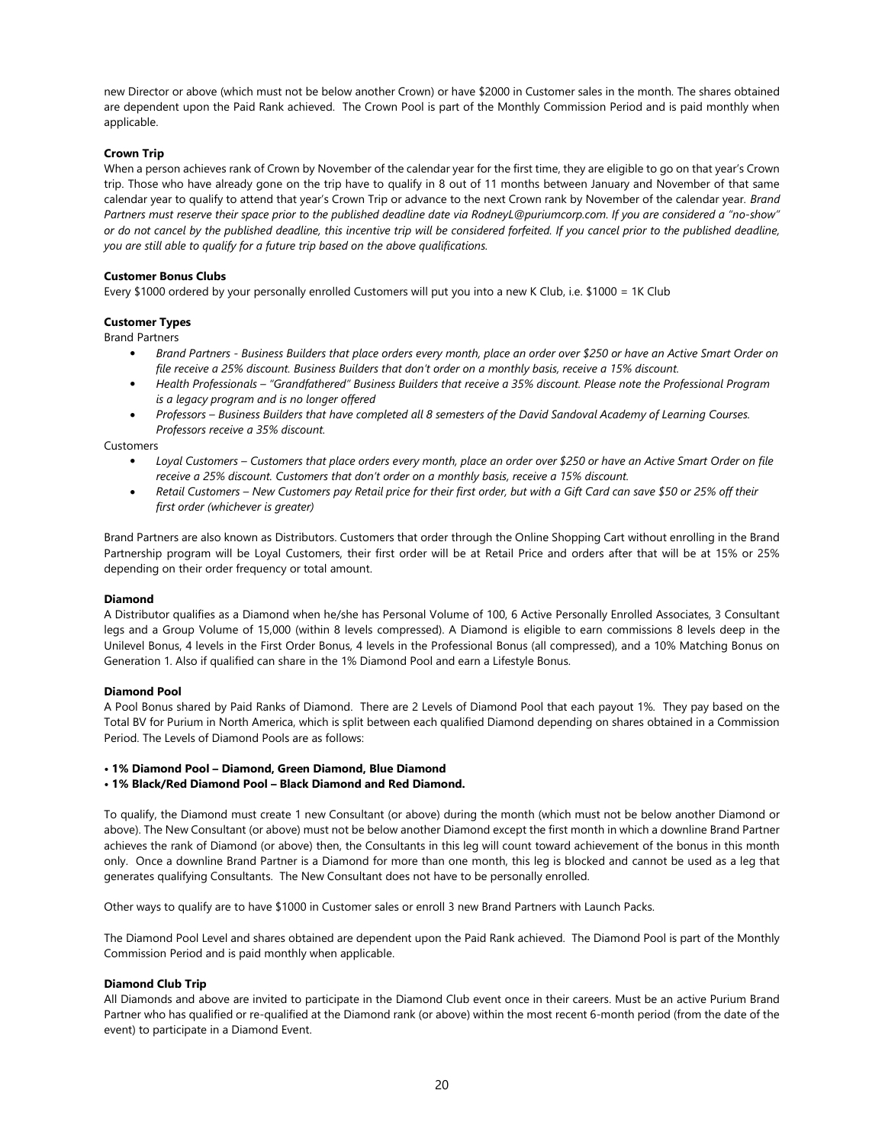new Director or above (which must not be below another Crown) or have \$2000 in Customer sales in the month. The shares obtained are dependent upon the Paid Rank achieved. The Crown Pool is part of the Monthly Commission Period and is paid monthly when applicable.

## Crown Trip

When a person achieves rank of Crown by November of the calendar year for the first time, they are eligible to go on that year's Crown trip. Those who have already gone on the trip have to qualify in 8 out of 11 months between January and November of that same calendar year to qualify to attend that year's Crown Trip or advance to the next Crown rank by November of the calendar year. Brand Partners must reserve their space prior to the published deadline date via RodneyL@puriumcorp.com. If you are considered a "no-show" or do not cancel by the published deadline, this incentive trip will be considered forfeited. If you cancel prior to the published deadline, you are still able to qualify for a future trip based on the above qualifications.

## Customer Bonus Clubs

Every \$1000 ordered by your personally enrolled Customers will put you into a new K Club, i.e. \$1000 = 1K Club

## Customer Types

Brand Partners

- Brand Partners Business Builders that place orders every month, place an order over \$250 or have an Active Smart Order on file receive a 25% discount. Business Builders that don't order on a monthly basis, receive a 15% discount.
- Health Professionals "Grandfathered" Business Builders that receive a 35% discount. Please note the Professional Program is a legacy program and is no longer offered
- Professors Business Builders that have completed all 8 semesters of the David Sandoval Academy of Learning Courses. Professors receive a 35% discount.

Customers

- Loyal Customers Customers that place orders every month, place an order over \$250 or have an Active Smart Order on file receive a 25% discount. Customers that don't order on a monthly basis, receive a 15% discount.
- Retail Customers New Customers pay Retail price for their first order, but with a Gift Card can save \$50 or 25% off their first order (whichever is greater)

Brand Partners are also known as Distributors. Customers that order through the Online Shopping Cart without enrolling in the Brand Partnership program will be Loyal Customers, their first order will be at Retail Price and orders after that will be at 15% or 25% depending on their order frequency or total amount.

#### Diamond

A Distributor qualifies as a Diamond when he/she has Personal Volume of 100, 6 Active Personally Enrolled Associates, 3 Consultant legs and a Group Volume of 15,000 (within 8 levels compressed). A Diamond is eligible to earn commissions 8 levels deep in the Unilevel Bonus, 4 levels in the First Order Bonus, 4 levels in the Professional Bonus (all compressed), and a 10% Matching Bonus on Generation 1. Also if qualified can share in the 1% Diamond Pool and earn a Lifestyle Bonus.

## Diamond Pool

A Pool Bonus shared by Paid Ranks of Diamond. There are 2 Levels of Diamond Pool that each payout 1%. They pay based on the Total BV for Purium in North America, which is split between each qualified Diamond depending on shares obtained in a Commission Period. The Levels of Diamond Pools are as follows:

- 1% Diamond Pool Diamond, Green Diamond, Blue Diamond
- 1% Black/Red Diamond Pool Black Diamond and Red Diamond.

To qualify, the Diamond must create 1 new Consultant (or above) during the month (which must not be below another Diamond or above). The New Consultant (or above) must not be below another Diamond except the first month in which a downline Brand Partner achieves the rank of Diamond (or above) then, the Consultants in this leg will count toward achievement of the bonus in this month only. Once a downline Brand Partner is a Diamond for more than one month, this leg is blocked and cannot be used as a leg that generates qualifying Consultants. The New Consultant does not have to be personally enrolled.

Other ways to qualify are to have \$1000 in Customer sales or enroll 3 new Brand Partners with Launch Packs.

The Diamond Pool Level and shares obtained are dependent upon the Paid Rank achieved. The Diamond Pool is part of the Monthly Commission Period and is paid monthly when applicable.

## Diamond Club Trip

All Diamonds and above are invited to participate in the Diamond Club event once in their careers. Must be an active Purium Brand Partner who has qualified or re-qualified at the Diamond rank (or above) within the most recent 6-month period (from the date of the event) to participate in a Diamond Event.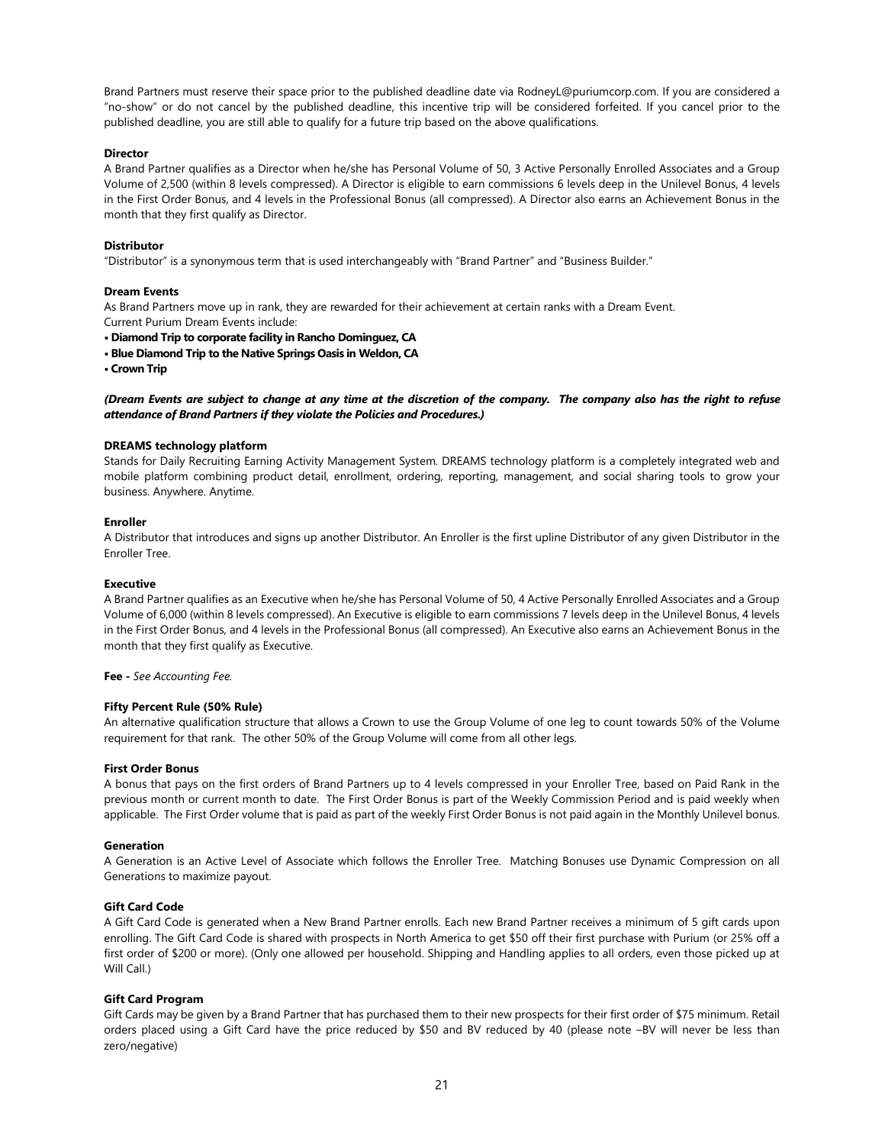Brand Partners must reserve their space prior to the published deadline date via RodneyL@puriumcorp.com. If you are considered a "no-show" or do not cancel by the published deadline, this incentive trip will be considered forfeited. If you cancel prior to the published deadline, you are still able to qualify for a future trip based on the above qualifications.

## **Director**

A Brand Partner qualifies as a Director when he/she has Personal Volume of 50, 3 Active Personally Enrolled Associates and a Group Volume of 2,500 (within 8 levels compressed). A Director is eligible to earn commissions 6 levels deep in the Unilevel Bonus, 4 levels in the First Order Bonus, and 4 levels in the Professional Bonus (all compressed). A Director also earns an Achievement Bonus in the month that they first qualify as Director.

## **Distributor**

"Distributor" is a synonymous term that is used interchangeably with "Brand Partner" and "Business Builder."

#### Dream Events

As Brand Partners move up in rank, they are rewarded for their achievement at certain ranks with a Dream Event. Current Purium Dream Events include:

- Diamond Trip to corporate facility in Rancho Dominguez, CA
- Blue Diamond Trip to the Native Springs Oasis in Weldon, CA
- Crown Trip

(Dream Events are subject to change at any time at the discretion of the company. The company also has the right to refuse attendance of Brand Partners if they violate the Policies and Procedures.)

## DREAMS technology platform

Stands for Daily Recruiting Earning Activity Management System. DREAMS technology platform is a completely integrated web and mobile platform combining product detail, enrollment, ordering, reporting, management, and social sharing tools to grow your business. Anywhere. Anytime.

#### Enroller

A Distributor that introduces and signs up another Distributor. An Enroller is the first upline Distributor of any given Distributor in the Enroller Tree.

#### Executive

A Brand Partner qualifies as an Executive when he/she has Personal Volume of 50, 4 Active Personally Enrolled Associates and a Group Volume of 6,000 (within 8 levels compressed). An Executive is eligible to earn commissions 7 levels deep in the Unilevel Bonus, 4 levels in the First Order Bonus, and 4 levels in the Professional Bonus (all compressed). An Executive also earns an Achievement Bonus in the month that they first qualify as Executive.

### Fee - See Accounting Fee.

## Fifty Percent Rule (50% Rule)

An alternative qualification structure that allows a Crown to use the Group Volume of one leg to count towards 50% of the Volume requirement for that rank. The other 50% of the Group Volume will come from all other legs.

#### First Order Bonus

A bonus that pays on the first orders of Brand Partners up to 4 levels compressed in your Enroller Tree, based on Paid Rank in the previous month or current month to date. The First Order Bonus is part of the Weekly Commission Period and is paid weekly when applicable. The First Order volume that is paid as part of the weekly First Order Bonus is not paid again in the Monthly Unilevel bonus.

#### Generation

A Generation is an Active Level of Associate which follows the Enroller Tree. Matching Bonuses use Dynamic Compression on all Generations to maximize payout.

## Gift Card Code

A Gift Card Code is generated when a New Brand Partner enrolls. Each new Brand Partner receives a minimum of 5 gift cards upon enrolling. The Gift Card Code is shared with prospects in North America to get \$50 off their first purchase with Purium (or 25% off a first order of \$200 or more). (Only one allowed per household. Shipping and Handling applies to all orders, even those picked up at Will Call.)

## Gift Card Program

Gift Cards may be given by a Brand Partner that has purchased them to their new prospects for their first order of \$75 minimum. Retail orders placed using a Gift Card have the price reduced by \$50 and BV reduced by 40 (please note –BV will never be less than zero/negative)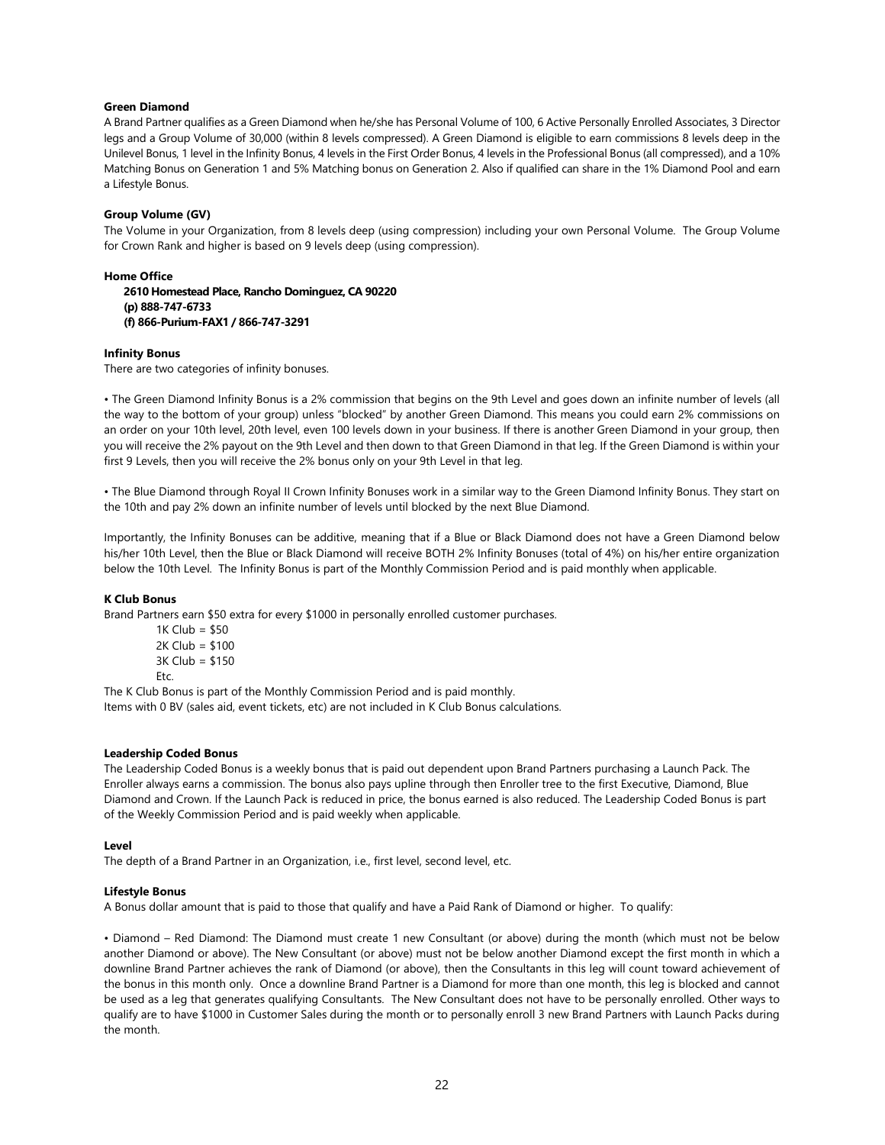## Green Diamond

A Brand Partner qualifies as a Green Diamond when he/she has Personal Volume of 100, 6 Active Personally Enrolled Associates, 3 Director legs and a Group Volume of 30,000 (within 8 levels compressed). A Green Diamond is eligible to earn commissions 8 levels deep in the Unilevel Bonus, 1 level in the Infinity Bonus, 4 levels in the First Order Bonus, 4 levels in the Professional Bonus (all compressed), and a 10% Matching Bonus on Generation 1 and 5% Matching bonus on Generation 2. Also if qualified can share in the 1% Diamond Pool and earn a Lifestyle Bonus.

## Group Volume (GV)

The Volume in your Organization, from 8 levels deep (using compression) including your own Personal Volume. The Group Volume for Crown Rank and higher is based on 9 levels deep (using compression).

## Home Office

2610 Homestead Place, Rancho Dominguez, CA 90220 (p) 888-747-6733 (f) 866-Purium-FAX1 / 866-747-3291

## Infinity Bonus

There are two categories of infinity bonuses.

• The Green Diamond Infinity Bonus is a 2% commission that begins on the 9th Level and goes down an infinite number of levels (all the way to the bottom of your group) unless "blocked" by another Green Diamond. This means you could earn 2% commissions on an order on your 10th level, 20th level, even 100 levels down in your business. If there is another Green Diamond in your group, then you will receive the 2% payout on the 9th Level and then down to that Green Diamond in that leg. If the Green Diamond is within your first 9 Levels, then you will receive the 2% bonus only on your 9th Level in that leg.

• The Blue Diamond through Royal II Crown Infinity Bonuses work in a similar way to the Green Diamond Infinity Bonus. They start on the 10th and pay 2% down an infinite number of levels until blocked by the next Blue Diamond.

Importantly, the Infinity Bonuses can be additive, meaning that if a Blue or Black Diamond does not have a Green Diamond below his/her 10th Level, then the Blue or Black Diamond will receive BOTH 2% Infinity Bonuses (total of 4%) on his/her entire organization below the 10th Level. The Infinity Bonus is part of the Monthly Commission Period and is paid monthly when applicable.

#### K Club Bonus

Brand Partners earn \$50 extra for every \$1000 in personally enrolled customer purchases.

 $1K$  Club = \$50 2K Club = \$100 3K Club = \$150 Etc.

The K Club Bonus is part of the Monthly Commission Period and is paid monthly.

Items with 0 BV (sales aid, event tickets, etc) are not included in K Club Bonus calculations.

## Leadership Coded Bonus

The Leadership Coded Bonus is a weekly bonus that is paid out dependent upon Brand Partners purchasing a Launch Pack. The Enroller always earns a commission. The bonus also pays upline through then Enroller tree to the first Executive, Diamond, Blue Diamond and Crown. If the Launch Pack is reduced in price, the bonus earned is also reduced. The Leadership Coded Bonus is part of the Weekly Commission Period and is paid weekly when applicable.

#### Level

The depth of a Brand Partner in an Organization, i.e., first level, second level, etc.

## Lifestyle Bonus

A Bonus dollar amount that is paid to those that qualify and have a Paid Rank of Diamond or higher. To qualify:

• Diamond – Red Diamond: The Diamond must create 1 new Consultant (or above) during the month (which must not be below another Diamond or above). The New Consultant (or above) must not be below another Diamond except the first month in which a downline Brand Partner achieves the rank of Diamond (or above), then the Consultants in this leg will count toward achievement of the bonus in this month only. Once a downline Brand Partner is a Diamond for more than one month, this leg is blocked and cannot be used as a leg that generates qualifying Consultants. The New Consultant does not have to be personally enrolled. Other ways to qualify are to have \$1000 in Customer Sales during the month or to personally enroll 3 new Brand Partners with Launch Packs during the month.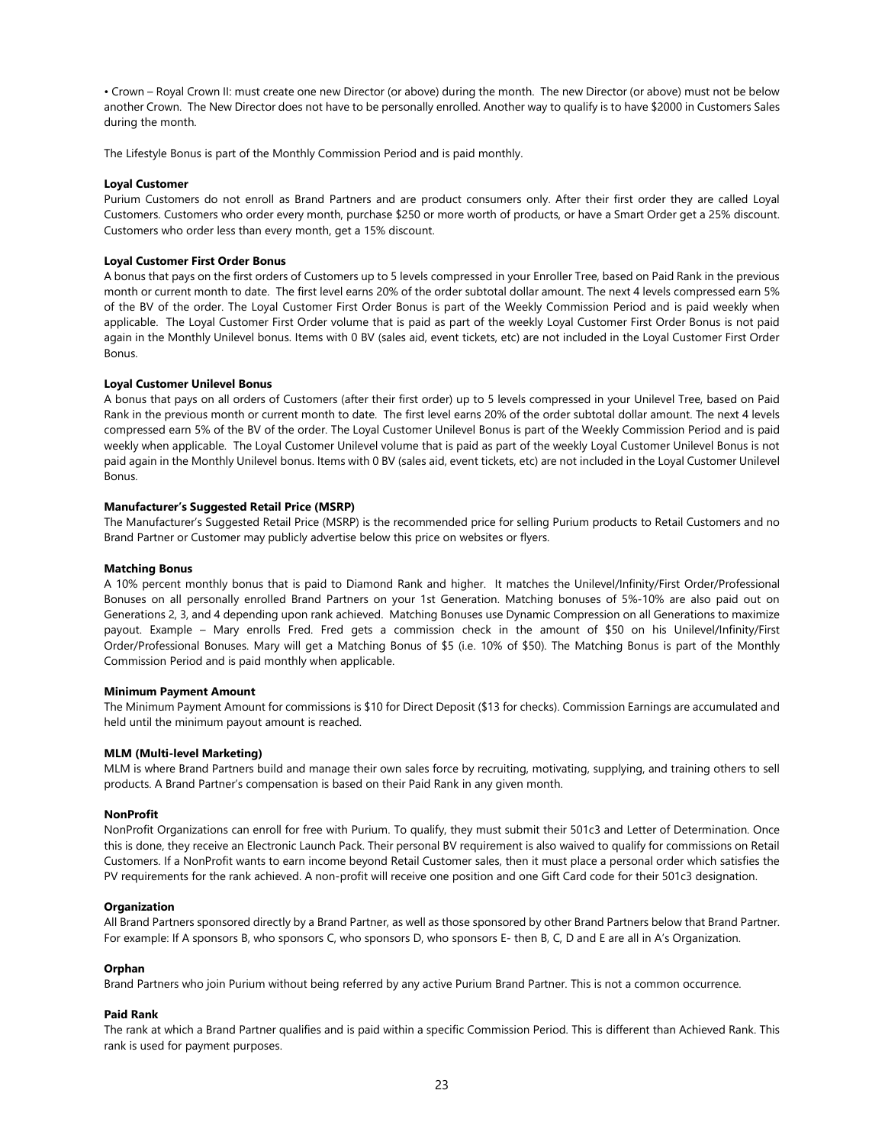• Crown – Royal Crown II: must create one new Director (or above) during the month. The new Director (or above) must not be below another Crown. The New Director does not have to be personally enrolled. Another way to qualify is to have \$2000 in Customers Sales during the month.

The Lifestyle Bonus is part of the Monthly Commission Period and is paid monthly.

## Loyal Customer

Purium Customers do not enroll as Brand Partners and are product consumers only. After their first order they are called Loyal Customers. Customers who order every month, purchase \$250 or more worth of products, or have a Smart Order get a 25% discount. Customers who order less than every month, get a 15% discount.

## Loyal Customer First Order Bonus

A bonus that pays on the first orders of Customers up to 5 levels compressed in your Enroller Tree, based on Paid Rank in the previous month or current month to date. The first level earns 20% of the order subtotal dollar amount. The next 4 levels compressed earn 5% of the BV of the order. The Loyal Customer First Order Bonus is part of the Weekly Commission Period and is paid weekly when applicable. The Loyal Customer First Order volume that is paid as part of the weekly Loyal Customer First Order Bonus is not paid again in the Monthly Unilevel bonus. Items with 0 BV (sales aid, event tickets, etc) are not included in the Loyal Customer First Order Bonus.

## Loyal Customer Unilevel Bonus

A bonus that pays on all orders of Customers (after their first order) up to 5 levels compressed in your Unilevel Tree, based on Paid Rank in the previous month or current month to date. The first level earns 20% of the order subtotal dollar amount. The next 4 levels compressed earn 5% of the BV of the order. The Loyal Customer Unilevel Bonus is part of the Weekly Commission Period and is paid weekly when applicable. The Loyal Customer Unilevel volume that is paid as part of the weekly Loyal Customer Unilevel Bonus is not paid again in the Monthly Unilevel bonus. Items with 0 BV (sales aid, event tickets, etc) are not included in the Loyal Customer Unilevel Bonus.

## Manufacturer's Suggested Retail Price (MSRP)

The Manufacturer's Suggested Retail Price (MSRP) is the recommended price for selling Purium products to Retail Customers and no Brand Partner or Customer may publicly advertise below this price on websites or flyers.

#### Matching Bonus

A 10% percent monthly bonus that is paid to Diamond Rank and higher. It matches the Unilevel/Infinity/First Order/Professional Bonuses on all personally enrolled Brand Partners on your 1st Generation. Matching bonuses of 5%-10% are also paid out on Generations 2, 3, and 4 depending upon rank achieved. Matching Bonuses use Dynamic Compression on all Generations to maximize payout. Example – Mary enrolls Fred. Fred gets a commission check in the amount of \$50 on his Unilevel/Infinity/First Order/Professional Bonuses. Mary will get a Matching Bonus of \$5 (i.e. 10% of \$50). The Matching Bonus is part of the Monthly Commission Period and is paid monthly when applicable.

#### Minimum Payment Amount

The Minimum Payment Amount for commissions is \$10 for Direct Deposit (\$13 for checks). Commission Earnings are accumulated and held until the minimum payout amount is reached.

#### MLM (Multi-level Marketing)

MLM is where Brand Partners build and manage their own sales force by recruiting, motivating, supplying, and training others to sell products. A Brand Partner's compensation is based on their Paid Rank in any given month.

#### NonProfit

NonProfit Organizations can enroll for free with Purium. To qualify, they must submit their 501c3 and Letter of Determination. Once this is done, they receive an Electronic Launch Pack. Their personal BV requirement is also waived to qualify for commissions on Retail Customers. If a NonProfit wants to earn income beyond Retail Customer sales, then it must place a personal order which satisfies the PV requirements for the rank achieved. A non-profit will receive one position and one Gift Card code for their 501c3 designation.

#### **Organization**

All Brand Partners sponsored directly by a Brand Partner, as well as those sponsored by other Brand Partners below that Brand Partner. For example: If A sponsors B, who sponsors C, who sponsors D, who sponsors E- then B, C, D and E are all in A's Organization.

#### Orphan

Brand Partners who join Purium without being referred by any active Purium Brand Partner. This is not a common occurrence.

#### Paid Rank

The rank at which a Brand Partner qualifies and is paid within a specific Commission Period. This is different than Achieved Rank. This rank is used for payment purposes.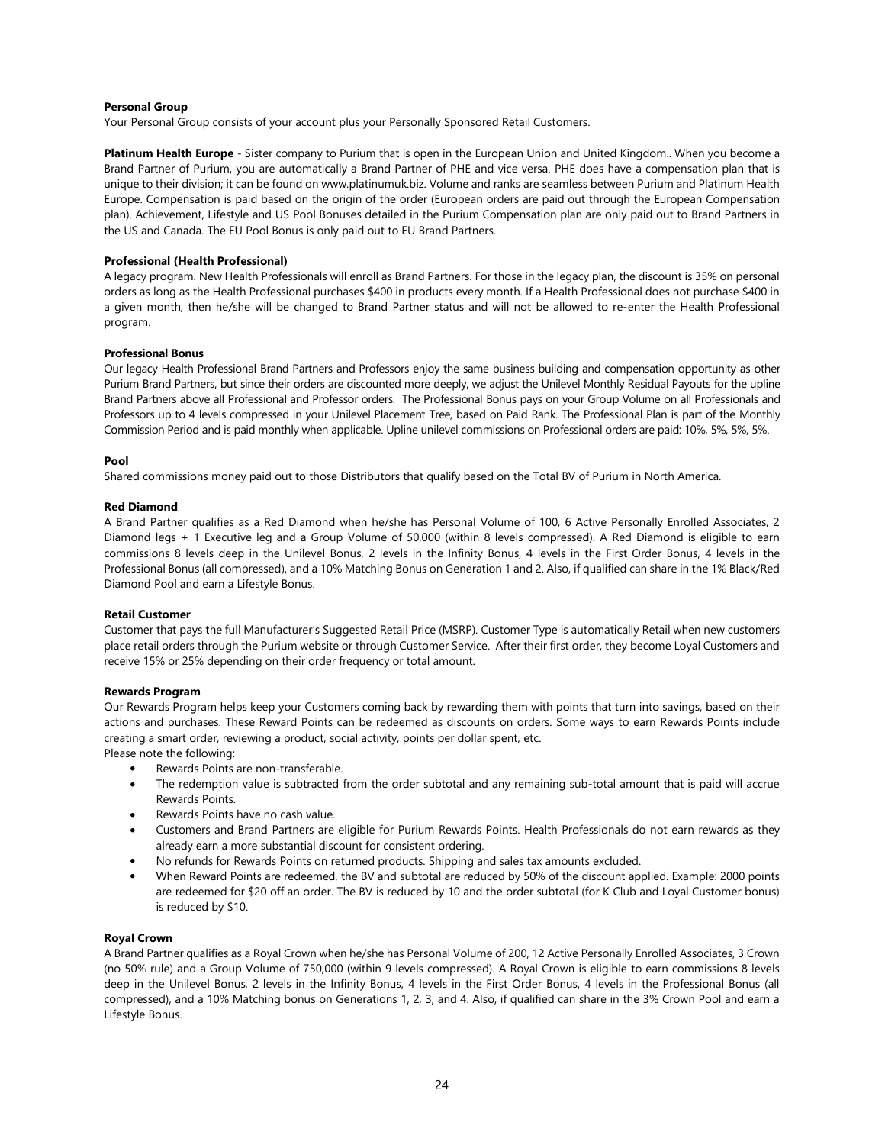## Personal Group

Your Personal Group consists of your account plus your Personally Sponsored Retail Customers.

Platinum Health Europe - Sister company to Purium that is open in the European Union and United Kingdom.. When you become a Brand Partner of Purium, you are automatically a Brand Partner of PHE and vice versa. PHE does have a compensation plan that is unique to their division; it can be found on www.platinumuk.biz. Volume and ranks are seamless between Purium and Platinum Health Europe. Compensation is paid based on the origin of the order (European orders are paid out through the European Compensation plan). Achievement, Lifestyle and US Pool Bonuses detailed in the Purium Compensation plan are only paid out to Brand Partners in the US and Canada. The EU Pool Bonus is only paid out to EU Brand Partners.

## Professional (Health Professional)

A legacy program. New Health Professionals will enroll as Brand Partners. For those in the legacy plan, the discount is 35% on personal orders as long as the Health Professional purchases \$400 in products every month. If a Health Professional does not purchase \$400 in a given month, then he/she will be changed to Brand Partner status and will not be allowed to re-enter the Health Professional program.

#### Professional Bonus

Our legacy Health Professional Brand Partners and Professors enjoy the same business building and compensation opportunity as other Purium Brand Partners, but since their orders are discounted more deeply, we adjust the Unilevel Monthly Residual Payouts for the upline Brand Partners above all Professional and Professor orders. The Professional Bonus pays on your Group Volume on all Professionals and Professors up to 4 levels compressed in your Unilevel Placement Tree, based on Paid Rank. The Professional Plan is part of the Monthly Commission Period and is paid monthly when applicable. Upline unilevel commissions on Professional orders are paid: 10%, 5%, 5%, 5%.

## Pool

Shared commissions money paid out to those Distributors that qualify based on the Total BV of Purium in North America.

## Red Diamond

A Brand Partner qualifies as a Red Diamond when he/she has Personal Volume of 100, 6 Active Personally Enrolled Associates, 2 Diamond legs + 1 Executive leg and a Group Volume of 50,000 (within 8 levels compressed). A Red Diamond is eligible to earn commissions 8 levels deep in the Unilevel Bonus, 2 levels in the Infinity Bonus, 4 levels in the First Order Bonus, 4 levels in the Professional Bonus (all compressed), and a 10% Matching Bonus on Generation 1 and 2. Also, if qualified can share in the 1% Black/Red Diamond Pool and earn a Lifestyle Bonus.

#### Retail Customer

Customer that pays the full Manufacturer's Suggested Retail Price (MSRP). Customer Type is automatically Retail when new customers place retail orders through the Purium website or through Customer Service. After their first order, they become Loyal Customers and receive 15% or 25% depending on their order frequency or total amount.

#### Rewards Program

Our Rewards Program helps keep your Customers coming back by rewarding them with points that turn into savings, based on their actions and purchases. These Reward Points can be redeemed as discounts on orders. Some ways to earn Rewards Points include creating a smart order, reviewing a product, social activity, points per dollar spent, etc.

Please note the following:

- Rewards Points are non-transferable.
- The redemption value is subtracted from the order subtotal and any remaining sub-total amount that is paid will accrue Rewards Points.
- Rewards Points have no cash value.
- Customers and Brand Partners are eligible for Purium Rewards Points. Health Professionals do not earn rewards as they already earn a more substantial discount for consistent ordering.
- No refunds for Rewards Points on returned products. Shipping and sales tax amounts excluded.
- When Reward Points are redeemed, the BV and subtotal are reduced by 50% of the discount applied. Example: 2000 points are redeemed for \$20 off an order. The BV is reduced by 10 and the order subtotal (for K Club and Loyal Customer bonus) is reduced by \$10.

## Royal Crown

A Brand Partner qualifies as a Royal Crown when he/she has Personal Volume of 200, 12 Active Personally Enrolled Associates, 3 Crown (no 50% rule) and a Group Volume of 750,000 (within 9 levels compressed). A Royal Crown is eligible to earn commissions 8 levels deep in the Unilevel Bonus, 2 levels in the Infinity Bonus, 4 levels in the First Order Bonus, 4 levels in the Professional Bonus (all compressed), and a 10% Matching bonus on Generations 1, 2, 3, and 4. Also, if qualified can share in the 3% Crown Pool and earn a Lifestyle Bonus.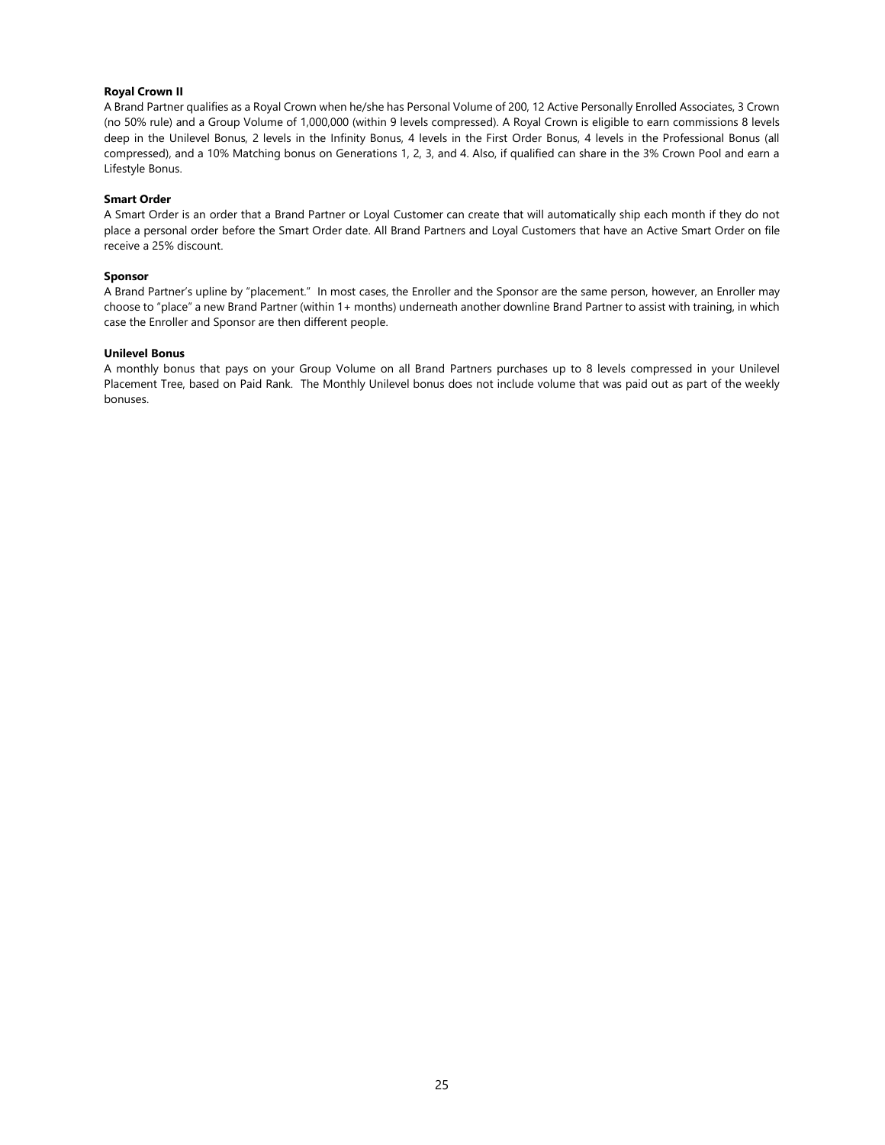## Royal Crown II

A Brand Partner qualifies as a Royal Crown when he/she has Personal Volume of 200, 12 Active Personally Enrolled Associates, 3 Crown (no 50% rule) and a Group Volume of 1,000,000 (within 9 levels compressed). A Royal Crown is eligible to earn commissions 8 levels deep in the Unilevel Bonus, 2 levels in the Infinity Bonus, 4 levels in the First Order Bonus, 4 levels in the Professional Bonus (all compressed), and a 10% Matching bonus on Generations 1, 2, 3, and 4. Also, if qualified can share in the 3% Crown Pool and earn a Lifestyle Bonus.

## Smart Order

A Smart Order is an order that a Brand Partner or Loyal Customer can create that will automatically ship each month if they do not place a personal order before the Smart Order date. All Brand Partners and Loyal Customers that have an Active Smart Order on file receive a 25% discount.

#### Sponsor

A Brand Partner's upline by "placement." In most cases, the Enroller and the Sponsor are the same person, however, an Enroller may choose to "place" a new Brand Partner (within 1+ months) underneath another downline Brand Partner to assist with training, in which case the Enroller and Sponsor are then different people.

## Unilevel Bonus

A monthly bonus that pays on your Group Volume on all Brand Partners purchases up to 8 levels compressed in your Unilevel Placement Tree, based on Paid Rank. The Monthly Unilevel bonus does not include volume that was paid out as part of the weekly bonuses.